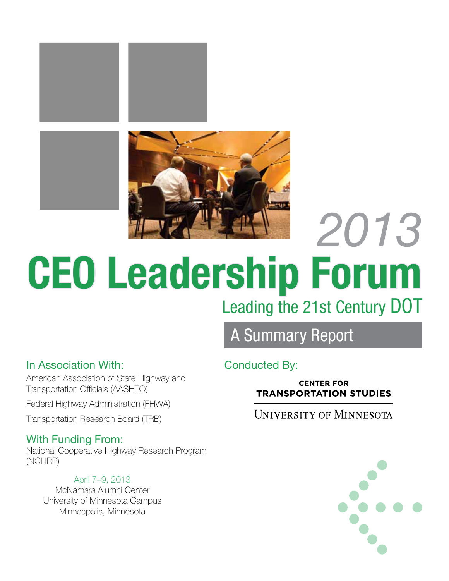

# *2013* Leading the 21st Century DOT CEO Leadership Forum

## A Summary Report

#### In Association With: Conducted By:

American Association of State Highway and Transportation Officials (AASHTO) Federal Highway Administration (FHWA) Transportation Research Board (TRB)

## With Funding From:

National Cooperative Highway Research Program (NCHRP)

#### April 7–9, 2013

McNamara Alumni Center University of Minnesota Campus Minneapolis, Minnesota

**CENTER FOR TRANSPORTATION STUDIES** 

## **UNIVERSITY OF MINNESOTA**

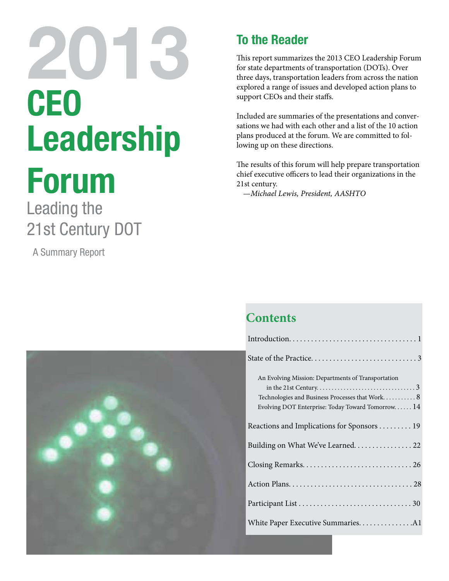# CEO Leadership 201

# Forum

Leading the 21st Century DOT

A Summary Report



## To the Reader

This report summarizes the 2013 CEO Leadership Forum for state departments of transportation (DOTs). Over three days, transportation leaders from across the nation explored a range of issues and developed action plans to support CEOs and their staffs.

Included are summaries of the presentations and conversations we had with each other and a list of the 10 action plans produced at the forum. We are committed to following up on these directions.

The results of this forum will help prepare transportation chief executive officers to lead their organizations in the 21st century.

—*Michael Lewis, President, AASHTO*

## **Contents**

| An Evolving Mission: Departments of Transportation |
|----------------------------------------------------|
|                                                    |
| Technologies and Business Processes that Work 8    |
| Evolving DOT Enterprise: Today Toward Tomorrow 14  |
| Reactions and Implications for Sponsors 19         |
| Building on What We've Learned. 22                 |
|                                                    |
|                                                    |
|                                                    |
|                                                    |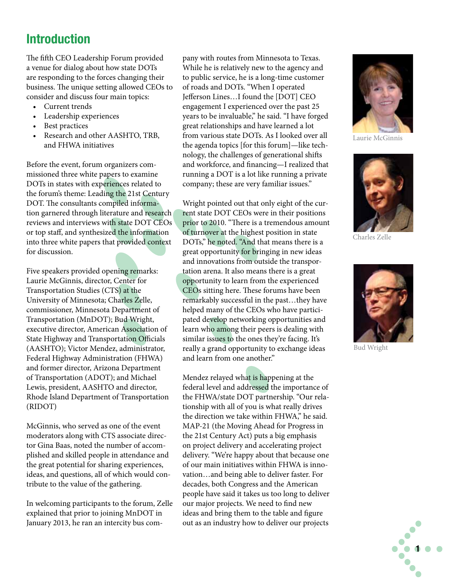## Introduction

The fifth CEO Leadership Forum provided a venue for dialog about how state DOTs are responding to the forces changing their business. The unique setting allowed CEOs to consider and discuss four main topics:

- Current trends
- Leadership experiences
- Best practices
- • Research and other AASHTO, TRB, and FHWA initiatives

Before the event, forum organizers commissioned three white papers to examine DOTs in states with experiences related to the forum's theme: Leading the 21st Century DOT. The consultants compiled information garnered through literature and research reviews and interviews with state DOT CEOs or top staff, and synthesized the information into three white papers that provided context for discussion.

Five speakers provided opening remarks: Laurie McGinnis, director, Center for Transportation Studies (CTS) at the University of Minnesota; Charles Zelle, commissioner, Minnesota Department of Transportation (MnDOT); Bud Wright, executive director, American Association of State Highway and Transportation Officials (AASHTO); Victor Mendez, administrator, Federal Highway Administration (FHWA) and former director, Arizona Department of Transportation (ADOT); and Michael Lewis, president, AASHTO and director, Rhode Island Department of Transportation (RIDOT)

McGinnis, who served as one of the event moderators along with CTS associate director Gina Baas, noted the number of accomplished and skilled people in attendance and the great potential for sharing experiences, ideas, and questions, all of which would contribute to the value of the gathering.

In welcoming participants to the forum, Zelle explained that prior to joining MnDOT in January 2013, he ran an intercity bus company with routes from Minnesota to Texas. While he is relatively new to the agency and to public service, he is a long-time customer of roads and DOTs. "When I operated Jefferson Lines…I found the [DOT] CEO engagement I experienced over the past 25 years to be invaluable," he said. "I have forged great relationships and have learned a lot from various state DOTs. As I looked over all the agenda topics [for this forum]—like technology, the challenges of generational shifts and workforce, and financing—I realized that running a DOT is a lot like running a private company; these are very familiar issues."

Wright pointed out that only eight of the current state DOT CEOs were in their positions prior to 2010. "There is a tremendous amount of turnover at the highest position in state DOTs," he noted. "And that means there is a great opportunity for bringing in new ideas and innovations from outside the transportation arena. It also means there is a great opportunity to learn from the experienced CEOs sitting here. These forums have been remarkably successful in the past…they have helped many of the CEOs who have participated develop networking opportunities and learn who among their peers is dealing with similar issues to the ones they're facing. It's really a grand opportunity to exchange ideas and learn from one another."

Mendez relayed what is happening at the federal level and addressed the importance of the FHWA/state DOT partnership. "Our relationship with all of you is what really drives the direction we take within FHWA," he said. MAP-21 (the Moving Ahead for Progress in the 21st Century Act) puts a big emphasis on project delivery and accelerating project delivery. "We're happy about that because one of our main initiatives within FHWA is innovation…and being able to deliver faster. For decades, both Congress and the American people have said it takes us too long to deliver our major projects. We need to find new ideas and bring them to the table and figure out as an industry how to deliver our projects



Laurie McGinnis



Charles Zelle



Bud Wright

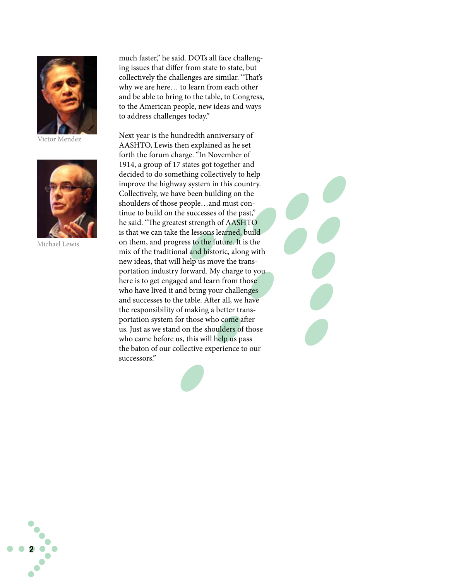

Victor Mendez



Michael Lewis

2

much faster," he said. DOTs all face challenging issues that differ from state to state, but collectively the challenges are similar. "That's why we are here… to learn from each other and be able to bring to the table, to Congress, to the American people, new ideas and ways to address challenges today."

Next year is the hundredth anniversary of AASHTO, Lewis then explained as he set forth the forum charge. "In November of 1914, a group of 17 states got together and decided to do something collectively to help improve the highway system in this country. Collectively, we have been building on the shoulders of those people…and must continue to build on the successes of the past," he said. "The greatest strength of AASHTO is that we can take the lessons learned, build on them, and progress to the future. It is the mix of the traditional and historic, along with new ideas, that will help us move the transportation industry forward. My charge to you here is to get engaged and learn from those who have lived it and bring your challenges and successes to the table. After all, we have the responsibility of making a better transportation system for those who come after us. Just as we stand on the shoulders of those who came before us, this will help us pass the baton of our collective experience to our successors."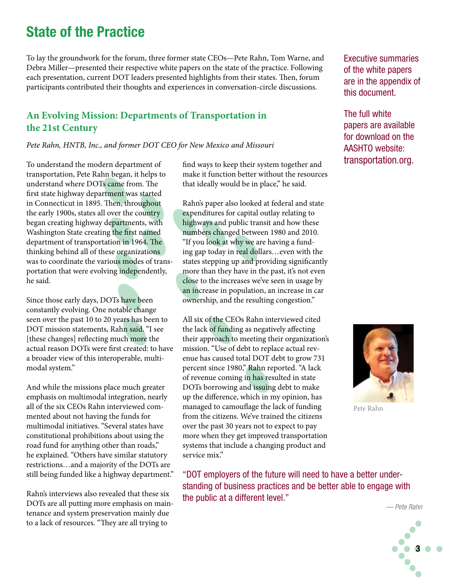## State of the Practice

To lay the groundwork for the forum, three former state CEOs—Pete Rahn, Tom Warne, and Debra Miller—presented their respective white papers on the state of the practice. Following each presentation, current DOT leaders presented highlights from their states. Then, forum participants contributed their thoughts and experiences in conversation-circle discussions.

#### **An Evolving Mission: Departments of Transportation in the 21st Century**

*Pete Rahn, HNTB, Inc., and former DOT CEO for New Mexico and Missouri*

To understand the modern department of transportation, Pete Rahn began, it helps to understand where DOTs came from. The first state highway department was started in Connecticut in 1895. Then, throughout the early 1900s, states all over the country began creating highway departments, with Washington State creating the first named department of transportation in 1964. The thinking behind all of these organizations was to coordinate the various modes of transportation that were evolving independently, he said.

Since those early days, DOTs have been constantly evolving. One notable change seen over the past 10 to 20 years has been to DOT mission statements, Rahn said. "I see [these changes] reflecting much more the actual reason DOTs were first created: to have a broader view of this interoperable, multimodal system."

And while the missions place much greater emphasis on multimodal integration, nearly all of the six CEOs Rahn interviewed commented about not having the funds for multimodal initiatives. "Several states have constitutional prohibitions about using the road fund for anything other than roads," he explained. "Others have similar statutory restrictions…and a majority of the DOTs are still being funded like a highway department."

Rahn's interviews also revealed that these six DOTs are all putting more emphasis on maintenance and system preservation mainly due to a lack of resources. "They are all trying to

find ways to keep their system together and make it function better without the resources that ideally would be in place," he said.

Rahn's paper also looked at federal and state expenditures for capital outlay relating to highways and public transit and how these numbers changed between 1980 and 2010. "If you look at why we are having a funding gap today in real dollars…even with the states stepping up and providing significantly more than they have in the past, it's not even close to the increases we've seen in usage by an increase in population, an increase in car ownership, and the resulting congestion."

All six of the CEOs Rahn interviewed cited the lack of funding as negatively affecting their approach to meeting their organization's mission. "Use of debt to replace actual revenue has caused total DOT debt to grow 731 percent since 1980," Rahn reported. "A lack of revenue coming in has resulted in state DOTs borrowing and issuing debt to make up the difference, which in my opinion, has managed to camouflage the lack of funding from the citizens. We've trained the citizens over the past 30 years not to expect to pay more when they get improved transportation systems that include a changing product and service mix."

"DOT employers of the future will need to have a better understanding of business practices and be better able to engage with the public at a different level."

Executive summaries of the white papers are in the appendix of this document.

The full white papers are available for download on the AASHTO website: transportation.org.



Pete Rahn

*— Pete Rahn*

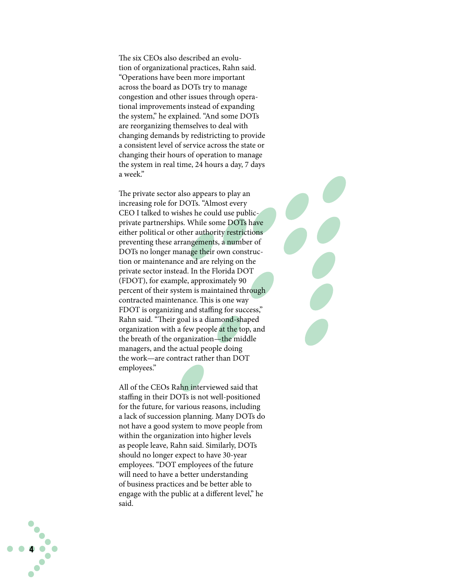The six CEOs also described an evolu tion of organizational practices, Rahn said. "Operations have been more important across the board as DOTs try to manage congestion and other issues through opera tional improvements instead of expanding the system," he explained. "And some DOTs are reorganizing themselves to deal with changing demands by redistricting to provide a consistent level of service across the state or changing their hours of operation to manage the system in real time, 24 hours a day, 7 days a week."

The private sector also appears to play an increasing role for DOTs. "Almost every CEO I talked to wishes he could use publicprivate partnerships. While some DOTs have either political or other authority restrictions preventing these arrangements, a number of DOTs no longer manage their own construc tion or maintenance and are relying on the private sector instead. In the Florida DOT (FDOT), for example, approximately 90 percent of their system is maintained through contracted maintenance. This is one way FDOT is organizing and staffing for success," Rahn said. "Their goal is a diamond-shaped organization with a few people at the top, and the breath of the organization—the middle managers, and the actual people doing the work—are contract rather than DOT employees."

All of the CEOs Rahn interviewed said that staffing in their DOTs is not well-positioned for the future, for various reasons, including a lack of succession planning. Many DOTs do not have a good system to move people from within the organization into higher levels as people leave, Rahn said. Similarly, DOTs should no longer expect to have 30-year employees. "DOT employees of the future will need to have a better understanding of business practices and be better able to engage with the public at a different level," he said.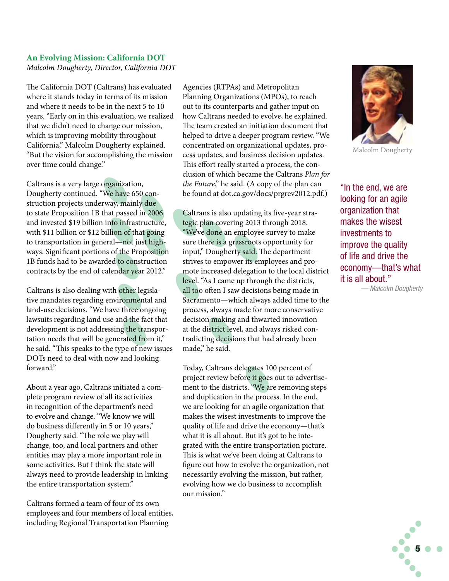#### **An Evolving Mission: California DOT** *Malcolm Dougherty, Director, California DOT*

The California DOT (Caltrans) has evaluated where it stands today in terms of its mission and where it needs to be in the next 5 to 10 years. "Early on in this evaluation, we realized that we didn't need to change our mission, which is improving mobility throughout California," Malcolm Dougherty explained. "But the vision for accomplishing the mission over time could change."

Caltrans is a very large organization, Dougherty continued. "We have 650 construction projects underway, mainly due to state Proposition 1B that passed in 2006 and invested \$19 billion into infrastructure, with \$11 billion or \$12 billion of that going to transportation in general—not just highways. Significant portions of the Proposition 1B funds had to be awarded to construction contracts by the end of calendar year 2012."

Caltrans is also dealing with other legislative mandates regarding environmental and land-use decisions. "We have three ongoing lawsuits regarding land use and the fact that development is not addressing the transportation needs that will be generated from it," he said. "This speaks to the type of new issues DOTs need to deal with now and looking forward."

About a year ago, Caltrans initiated a complete program review of all its activities in recognition of the department's need to evolve and change. "We know we will do business differently in 5 or 10 years," Dougherty said. "The role we play will change, too, and local partners and other entities may play a more important role in some activities. But I think the state will always need to provide leadership in linking the entire transportation system."

Caltrans formed a team of four of its own employees and four members of local entities, including Regional Transportation Planning

Agencies (RTPAs) and Metropolitan Planning Organizations (MPOs), to reach out to its counterparts and gather input on how Caltrans needed to evolve, he explained. The team created an initiation document that helped to drive a deeper program review. "We concentrated on organizational updates, process updates, and business decision updates. This effort really started a process, the conclusion of which became the Caltrans *Plan for the Future*," he said. (A copy of the plan can be found at dot.ca.gov/docs/prgrev2012.pdf.)

Caltrans is also updating its five-year strategic plan covering 2013 through 2018. "We've done an employee survey to make sure there is a grassroots opportunity for input," Dougherty said. The department strives to empower its employees and promote increased delegation to the local district level. "As I came up through the districts, all too often I saw decisions being made in Sacramento—which always added time to the process, always made for more conservative decision making and thwarted innovation at the district level, and always risked contradicting decisions that had already been made," he said.

Today, Caltrans delegates 100 percent of project review before it goes out to advertisement to the districts. "We are removing steps and duplication in the process. In the end, we are looking for an agile organization that makes the wisest investments to improve the quality of life and drive the economy—that's what it is all about. But it's got to be integrated with the entire transportation picture. This is what we've been doing at Caltrans to figure out how to evolve the organization, not necessarily evolving the mission, but rather, evolving how we do business to accomplish our mission."



Malcolm Dougherty

"In the end, we are looking for an agile organization that makes the wisest investments to improve the quality of life and drive the economy—that's what it is all about."

*— Malcolm Dougherty* 

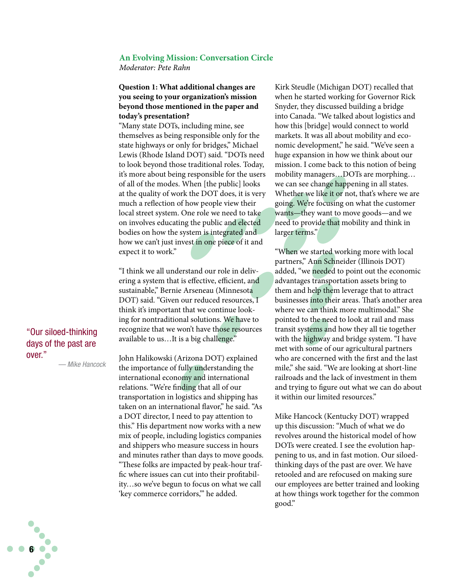#### **An Evolving Mission: Conversation Circle**

*Moderator: Pete Rahn*

#### **Question 1: What additional changes are you seeing to your organization's mission beyond those mentioned in the paper and today's presentation?**

"Many state DOTs, including mine, see themselves as being responsible only for the state highways or only for bridges," Michael Lewis (Rhode Island DOT) said. "DOTs need to look beyond those traditional roles. Today, it's more about being responsible for the users of all of the modes. When [the public] looks at the quality of work the DOT does, it is very much a reflection of how people view their local street system. One role we need to take on involves educating the public and elected bodies on how the system is integrated and how we can't just invest in one piece of it and expect it to work."

"I think we all understand our role in delivering a system that is effective, efficient, and sustainable," Bernie Arseneau (Minnesota DOT) said. "Given our reduced resources, I think it's important that we continue looking for nontraditional solutions. We have to recognize that we won't have those resources available to us…It is a big challenge."

"Our siloed-thinking days of the past are over." *— Mike Hancock*

6

John Halikowski (Arizona DOT) explained the importance of fully understanding the international economy and international relations. "We're finding that all of our transportation in logistics and shipping has taken on an international flavor," he said. "As a DOT director, I need to pay attention to this." His department now works with a new mix of people, including logistics companies and shippers who measure success in hours and minutes rather than days to move goods. "These folks are impacted by peak-hour traffic where issues can cut into their profitability…so we've begun to focus on what we call 'key commerce corridors,'" he added.

Kirk Steudle (Michigan DOT) recalled that when he started working for Governor Rick Snyder, they discussed building a bridge into Canada. "We talked about logistics and how this [bridge] would connect to world markets. It was all about mobility and economic development," he said. "We've seen a huge expansion in how we think about our mission. I come back to this notion of being mobility managers…DOTs are morphing… we can see change happening in all states. Whether we like it or not, that's where we are going. We're focusing on what the customer wants—they want to move goods—and we need to provide that mobility and think in larger terms."

"When we started working more with local partners," Ann Schneider (Illinois DOT) added, "we needed to point out the economic advantages transportation assets bring to them and help them leverage that to attract businesses into their areas. That's another area where we can think more multimodal." She pointed to the need to look at rail and mass transit systems and how they all tie together with the highway and bridge system. "I have met with some of our agricultural partners who are concerned with the first and the last mile," she said. "We are looking at short-line railroads and the lack of investment in them and trying to figure out what we can do about it within our limited resources."

Mike Hancock (Kentucky DOT) wrapped up this discussion: "Much of what we do revolves around the historical model of how DOTs were created. I see the evolution happening to us, and in fast motion. Our siloedthinking days of the past are over. We have retooled and are refocused on making sure our employees are better trained and looking at how things work together for the common good."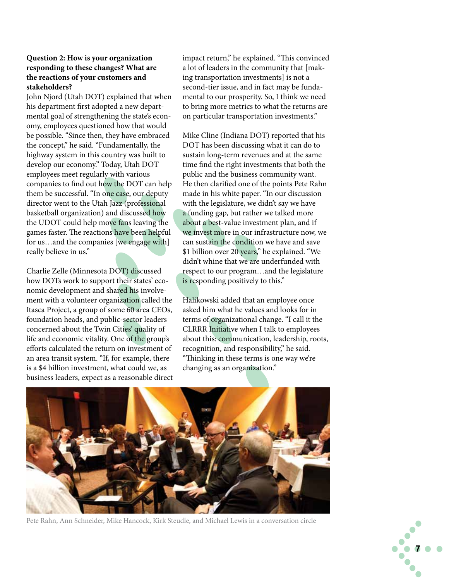#### **Question 2: How is your organization responding to these changes? What are the reactions of your customers and stakeholders?**

John Njord (Utah DOT) explained that when his department first adopted a new departmental goal of strengthening the state's economy, employees questioned how that would be possible. "Since then, they have embraced the concept," he said. "Fundamentally, the highway system in this country was built to develop our economy." Today, Utah DOT employees meet regularly with various companies to find out how the DOT can help them be successful. "In one case, our deputy director went to the Utah Jazz (professional basketball organization) and discussed how the UDOT could help move fans leaving the games faster. The reactions have been helpful for us…and the companies [we engage with] really believe in us."

Charlie Zelle (Minnesota DOT) discussed how DOTs work to support their states' economic development and shared his involvement with a volunteer organization called the Itasca Project, a group of some 60 area CEOs, foundation heads, and public-sector leaders concerned about the Twin Cities' quality of life and economic vitality. One of the group's efforts calculated the return on investment of an area transit system. "If, for example, there is a \$4 billion investment, what could we, as business leaders, expect as a reasonable direct

impact return," he explained. "This convinced a lot of leaders in the community that [making transportation investments] is not a second-tier issue, and in fact may be fundamental to our prosperity. So, I think we need to bring more metrics to what the returns are on particular transportation investments."

Mike Cline (Indiana DOT) reported that his DOT has been discussing what it can do to sustain long-term revenues and at the same time find the right investments that both the public and the business community want. He then clarified one of the points Pete Rahn made in his white paper. "In our discussion with the legislature, we didn't say we have a funding gap, but rather we talked more about a best-value investment plan, and if we invest more in our infrastructure now, we can sustain the condition we have and save \$1 billion over 20 years," he explained. "We didn't whine that we are underfunded with respect to our program…and the legislature is responding positively to this."

Halikowski added that an employee once asked him what he values and looks for in terms of organizational change. "I call it the CLRRR Initiative when I talk to employees about this: communication, leadership, roots, recognition, and responsibility," he said. "Thinking in these terms is one way we're changing as an organization."



Pete Rahn, Ann Schneider, Mike Hancock, Kirk Steudle, and Michael Lewis in a conversation circle

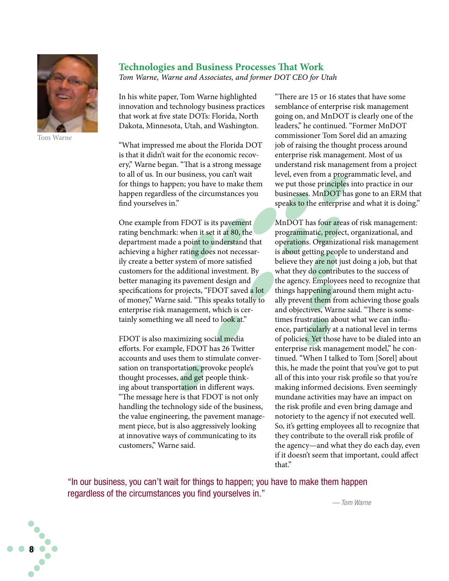

Tom Warne

#### **Technologies and Business Processes That Work**

*Tom Warne, Warne and Associates, and former DOT CEO for Utah*

In his white paper, Tom Warne highlighted innovation and technology business practices that work at five state DOTs: Florida, North Dakota, Minnesota, Utah, and Washington.

"What impressed me about the Florida DOT is that it didn't wait for the economic recovery," Warne began. "That is a strong message to all of us. In our business, you can't wait for things to happen; you have to make them happen regardless of the circumstances you find yourselves in."

One example from FDOT is its pavement rating benchmark: when it set it at 80, the department made a point to understand that achieving a higher rating does not necessarily create a better system of more satisfied customers for the additional investment. By better managing its pavement design and specifications for projects, "FDOT saved a lot of money," Warne said. "This speaks totally to enterprise risk management, which is certainly something we all need to look at."

FDOT is also maximizing social media efforts. For example, FDOT has 26 Twitter accounts and uses them to stimulate conversation on transportation, provoke people's thought processes, and get people thinking about transportation in different ways. "The message here is that FDOT is not only handling the technology side of the business, the value engineering, the pavement management piece, but is also aggressively looking at innovative ways of communicating to its customers," Warne said.

"There are 15 or 16 states that have some semblance of enterprise risk management going on, and MnDOT is clearly one of the leaders," he continued. "Former MnDOT commissioner Tom Sorel did an amazing job of raising the thought process around enterprise risk management. Most of us understand risk management from a project level, even from a programmatic level, and we put those principles into practice in our businesses. MnDOT has gone to an ERM that speaks to the enterprise and what it is doing."

MnDOT has four areas of risk management: programmatic, project, organizational, and operations. Organizational risk management is about getting people to understand and believe they are not just doing a job, but that what they do contributes to the success of the agency. Employees need to recognize that things happening around them might actually prevent them from achieving those goals and objectives, Warne said. "There is sometimes frustration about what we can influence, particularly at a national level in terms of policies. Yet those have to be dialed into an enterprise risk management model," he continued. "When I talked to Tom [Sorel] about this, he made the point that you've got to put all of this into your risk profile so that you're making informed decisions. Even seemingly mundane activities may have an impact on the risk profile and even bring damage and notoriety to the agency if not executed well. So, it's getting employees all to recognize that they contribute to the overall risk profile of the agency—and what they do each day, even if it doesn't seem that important, could affect that."

"In our business, you can't wait for things to happen; you have to make them happen regardless of the circumstances you find yourselves in."



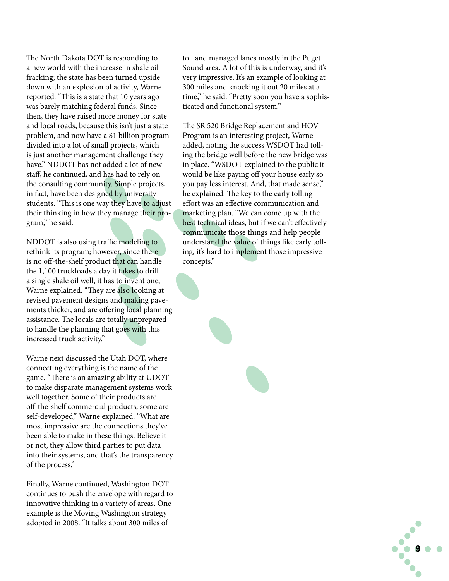The North Dakota DOT is responding to a new world with the increase in shale oil fracking; the state has been turned upside down with an explosion of activity, Warne reported. "This is a state that 10 years ago was barely matching federal funds. Since then, they have raised more money for state and local roads, because this isn't just a state problem, and now have a \$1 billion program divided into a lot of small projects, which is just another management challenge they have." NDDOT has not added a lot of new staff, he continued, and has had to rely on the consulting community. Simple projects, in fact, have been designed by university students. "This is one way they have to adjust their thinking in how they manage their program," he said.

NDDOT is also using traffic modeling to rethink its program; however, since there is no off-the-shelf product that can handle the 1,100 truckloads a day it takes to drill a single shale oil well, it has to invent one, Warne explained. "They are also looking at revised pavement designs and making pavements thicker, and are offering local planning assistance. The locals are totally unprepared to handle the planning that goes with this increased truck activity."

Warne next discussed the Utah DOT, where connecting everything is the name of the game. "There is an amazing ability at UDOT to make disparate management systems work well together. Some of their products are off-the-shelf commercial products; some are self-developed," Warne explained. "What are most impressive are the connections they've been able to make in these things. Believe it or not, they allow third parties to put data into their systems, and that's the transparency of the process."

Finally, Warne continued, Washington DOT continues to push the envelope with regard to innovative thinking in a variety of areas. One example is the Moving Washington strategy adopted in 2008. "It talks about 300 miles of

toll and managed lanes mostly in the Puget Sound area. A lot of this is underway, and it's very impressive. It's an example of looking at 300 miles and knocking it out 20 miles at a time," he said. "Pretty soon you have a sophisticated and functional system."

The SR 520 Bridge Replacement and HOV Program is an interesting project, Warne added, noting the success WSDOT had tolling the bridge well before the new bridge was in place. "WSDOT explained to the public it would be like paying off your house early so you pay less interest. And, that made sense," he explained. The key to the early tolling effort was an effective communication and marketing plan. "We can come up with the best technical ideas, but if we can't effectively communicate those things and help people understand the value of things like early tolling, it's hard to implement those impressive concepts."

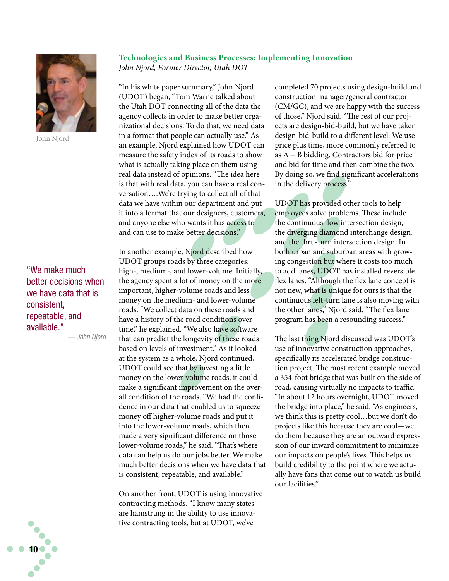

John Njord

"We make much better decisions when we have data that is consistent, repeatable, and available." *— John Njord*

**Technologies and Business Processes: Implementing Innovation** *John Njord, Former Director, Utah DOT*

"In his white paper summary," John Njord (UDOT) began, "Tom Warne talked about the Utah DOT connecting all of the data the agency collects in order to make better organizational decisions. To do that, we need data in a format that people can actually use." As an example, Njord explained how UDOT can measure the safety index of its roads to show what is actually taking place on them using real data instead of opinions. "The idea here is that with real data, you can have a real conversation….We're trying to collect all of that data we have within our department and put it into a format that our designers, customers, and anyone else who wants it has access to and can use to make better decisions."

In another example, Njord described how UDOT groups roads by three categories: high-, medium-, and lower-volume. Initially, the agency spent a lot of money on the more important, higher-volume roads and less money on the medium- and lower-volume roads. "We collect data on these roads and have a history of the road conditions over time," he explained. "We also have software that can predict the longevity of these roads based on levels of investment." As it looked at the system as a whole, Njord continued, UDOT could see that by investing a little money on the lower-volume roads, it could make a significant improvement on the overall condition of the roads. "We had the confidence in our data that enabled us to squeeze money off higher-volume roads and put it into the lower-volume roads, which then made a very significant difference on those lower-volume roads," he said. "That's where data can help us do our jobs better. We make much better decisions when we have data that is consistent, repeatable, and available."

On another front, UDOT is using innovative contracting methods. "I know many states are hamstrung in the ability to use innovative contracting tools, but at UDOT, we've

completed 70 projects using design-build and construction manager/general contractor (CM/GC), and we are happy with the success of those," Njord said. "The rest of our projects are design-bid-build, but we have taken design-bid-build to a different level. We use price plus time, more commonly referred to as  $A + B$  bidding. Contractors bid for price and bid for time and then combine the two. By doing so, we find significant accelerations in the delivery process."

UDOT has provided other tools to help employees solve problems. These include the continuous flow intersection design, the diverging diamond interchange design, and the thru-turn intersection design. In both urban and suburban areas with growing congestion but where it costs too much to add lanes, UDOT has installed reversible flex lanes. "Although the flex lane concept is not new, what is unique for ours is that the continuous left-turn lane is also moving with the other lanes," Njord said. "The flex lane program has been a resounding success."

The last thing Njord discussed was UDOT's use of innovative construction approaches, specifically its accelerated bridge construction project. The most recent example moved a 354-foot bridge that was built on the side of road, causing virtually no impacts to traffic. "In about 12 hours overnight, UDOT moved the bridge into place," he said. "As engineers, we think this is pretty cool…but we don't do projects like this because they are cool—we do them because they are an outward expression of our inward commitment to minimize our impacts on people's lives. This helps us build credibility to the point where we actually have fans that come out to watch us build our facilities."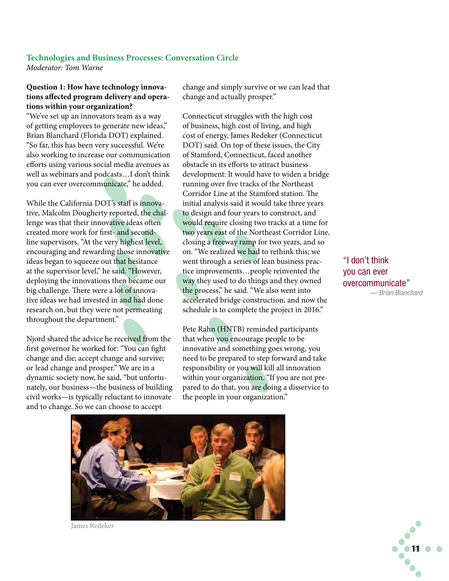## **Technologies and Business Processes: Conversation Circle**

*Moderator: Tom Warne*

#### **Question 1: How have technology innovations affected program delivery and operations within your organization?**

"We've set up an innovators team as a way of getting employees to generate new ideas," Brian Blanchard (Florida DOT) explained. "So far, this has been very successful. We're also working to increase our communication efforts using various social media avenues as well as webinars and podcasts…I don't think you can ever overcommunicate," he added.

While the California DOT's staff is innovative, Malcolm Dougherty reported, the challenge was that their innovative ideas often created more work for first- and secondline supervisors. "At the very highest level, encouraging and rewarding those innovative ideas began to squeeze out that hesitance at the supervisor level," he said. "However, deploying the innovations then became our big challenge. There were a lot of innovative ideas we had invested in and had done research on, but they were not permeating throughout the department."

Njord shared the advice he received from the first governor he worked for: "You can fight change and die; accept change and survive; or lead change and prosper." We are in a dynamic society now, he said, "but unfortunately, our business—the business of building civil works—is typically reluctant to innovate and to change. So we can choose to accept

change and simply survive or we can lead that change and actually prosper."

Connecticut struggles with the high cost of business, high cost of living, and high cost of energy, James Redeker (Connecticut DOT) said. On top of these issues, the City of Stamford, Connecticut, faced another obstacle in its efforts to attract business development: It would have to widen a bridge running over five tracks of the Northeast Corridor Line at the Stamford station. The initial analysis said it would take three years to design and four years to construct, and would require closing two tracks at a time for two years east of the Northeast Corridor Line, closing a freeway ramp for two years, and so on. "We realized we had to rethink this; we went through a series of lean business practice improvements…people reinvented the way they used to do things and they owned the process," he said. "We also went into accelerated bridge construction, and now the schedule is to complete the project in 2016."

Pete Rahn (HNTB) reminded participants that when you encourage people to be innovative and something goes wrong, you need to be prepared to step forward and take responsibility or you will kill all innovation within your organization. "If you are not prepared to do that, you are doing a disservice to the people in your organization."

"I don't think you can ever overcommunicate" *— Brian Blanchard*



James Redeker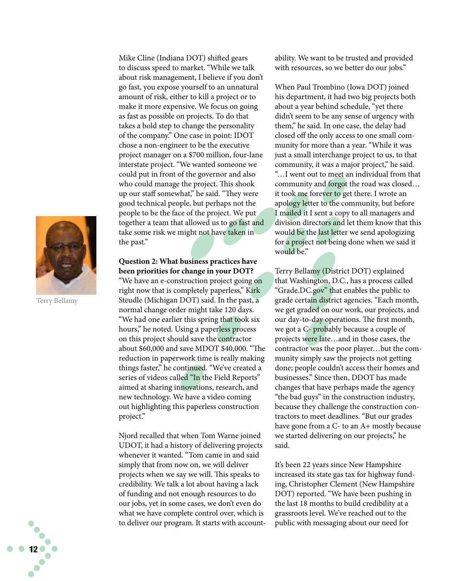

Terry Bellamy

Mike Cline (Indiana DOT) shifted gears to discuss speed to market. "While we talk about risk management, I believe if you don't go fast, you expose yourself to an unnatural amount of risk, either to kill a project or to make it more expensive. We focus on going as fast as possible on projects. To do that takes a bold step to change the personality of the company." One case in point: IDOT chose a non-engineer to be the executive project manager on a \$700 million, four-lane interstate project. "We wanted someone we could put in front of the governor and also who could manage the project. This shook up our staff somewhat," he said. "They were good technical people, but perhaps not the people to be the face of the project. We put together a team that allowed us to go fast and take some risk we might not have taken in the past."

#### **Question 2: What business practices have been priorities for change in your DOT?**

"We have an e-construction project going on right now that is completely paperless," Kirk Steudle (Michigan DOT) said. In the past, a normal change order might take 120 days. "We had one earlier this spring that took six hours," he noted. Using a paperless process on this project should save the contractor about \$60,000 and save MDOT \$40,000. "The reduction in paperwork time is really making things faster," he continued. "We've created a series of videos called "In the Field Reports" aimed at sharing innovations, research, and new technology. We have a video coming out highlighting this paperless construction project."

Njord recalled that when Tom Warne joined UDOT, it had a history of delivering projects whenever it wanted. "Tom came in and said simply that from now on, we will deliver projects when we say we will. This speaks to credibility. We talk a lot about having a lack of funding and not enough resources to do our jobs, yet in some cases, we don't even do what we have complete control over, which is to deliver our program. It starts with accountability. We want to be trusted and provided with resources, so we better do our jobs."

When Paul Trombino (Iowa DOT) joined his department, it had two big projects both about a year behind schedule, "yet there didn't seem to be any sense of urgency with them," he said. In one case, the delay had closed off the only access to one small community for more than a year. "While it was just a small interchange project to us, to that community, it was a major project," he said. "…I went out to meet an individual from that community and forgot the road was closed… it took me forever to get there. I wrote an apology letter to the community, but before I mailed it I sent a copy to all managers and division directors and let them know that this would be the last letter we send apologizing for a project not being done when we said it would be."

Terry Bellamy (District DOT) explained that Washington, D.C., has a process called "Grade.DC.gov" that enables the public to grade certain district agencies. "Each month, we get graded on our work, our projects, and our day-to-day operations. The first month, we got a C- probably because a couple of projects were late…and in those cases, the contractor was the poor player…but the community simply saw the projects not getting done; people couldn't access their homes and businesses." Since then, DDOT has made changes that have perhaps made the agency "the bad guys" in the construction industry, because they challenge the construction contractors to meet deadlines. "But our grades have gone from a C- to an A+ mostly because we started delivering on our projects," he said.

It's been 22 years since New Hampshire increased its state gas tax for highway funding, Christopher Clement (New Hampshire DOT) reported. "We have been pushing in the last 18 months to build credibility at a grassroots level. We've reached out to the public with messaging about our need for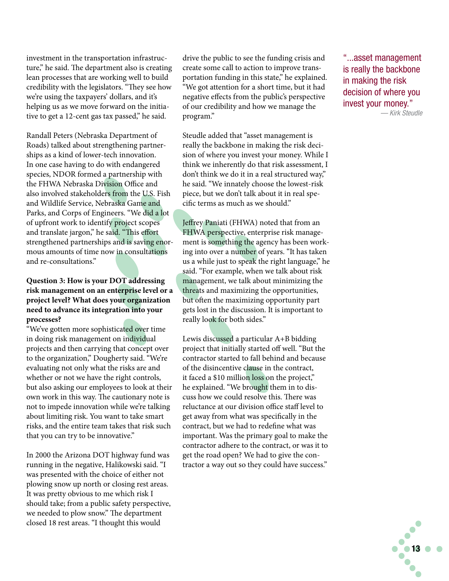investment in the transportation infrastructure," he said. The department also is creating lean processes that are working well to build credibility with the legislators. "They see how we're using the taxpayers' dollars, and it's helping us as we move forward on the initiative to get a 12-cent gas tax passed," he said.

Randall Peters (Nebraska Department of Roads) talked about strengthening partnerships as a kind of lower-tech innovation. In one case having to do with endangered species, NDOR formed a partnership with the FHWA Nebraska Division Office and also involved stakeholders from the U.S. Fish and Wildlife Service, Nebraska Game and Parks, and Corps of Engineers. "We did a lot of upfront work to identify project scopes and translate jargon," he said. "This effort strengthened partnerships and is saving enormous amounts of time now in consultations and re-consultations."

#### **Question 3: How is your DOT addressing risk management on an enterprise level or a project level? What does your organization need to advance its integration into your processes?**

"We've gotten more sophisticated over time in doing risk management on individual projects and then carrying that concept over to the organization," Dougherty said. "We're evaluating not only what the risks are and whether or not we have the right controls, but also asking our employees to look at their own work in this way. The cautionary note is not to impede innovation while we're talking about limiting risk. You want to take smart risks, and the entire team takes that risk such that you can try to be innovative."

In 2000 the Arizona DOT highway fund was running in the negative, Halikowski said. "I was presented with the choice of either not plowing snow up north or closing rest areas. It was pretty obvious to me which risk I should take; from a public safety perspective, we needed to plow snow." The department closed 18 rest areas. "I thought this would

drive the public to see the funding crisis and create some call to action to improve transportation funding in this state," he explained. "We got attention for a short time, but it had negative effects from the public's perspective of our credibility and how we manage the program."

Steudle added that "asset management is really the backbone in making the risk decision of where you invest your money. While I think we inherently do that risk assessment, I don't think we do it in a real structured way," he said. "We innately choose the lowest-risk piece, but we don't talk about it in real specific terms as much as we should."

Jeffrey Paniati (FHWA) noted that from an FHWA perspective, enterprise risk management is something the agency has been working into over a number of years. "It has taken us a while just to speak the right language," he said. "For example, when we talk about risk management, we talk about minimizing the threats and maximizing the opportunities, but often the maximizing opportunity part gets lost in the discussion. It is important to really look for both sides."

Lewis discussed a particular A+B bidding project that initially started off well. "But the contractor started to fall behind and because of the disincentive clause in the contract, it faced a \$10 million loss on the project," he explained. "We brought them in to discuss how we could resolve this. There was reluctance at our division office staff level to get away from what was specifically in the contract, but we had to redefine what was important. Was the primary goal to make the contractor adhere to the contract, or was it to get the road open? We had to give the contractor a way out so they could have success."

"...asset management is really the backbone in making the risk decision of where you invest your money." *— Kirk Steudle*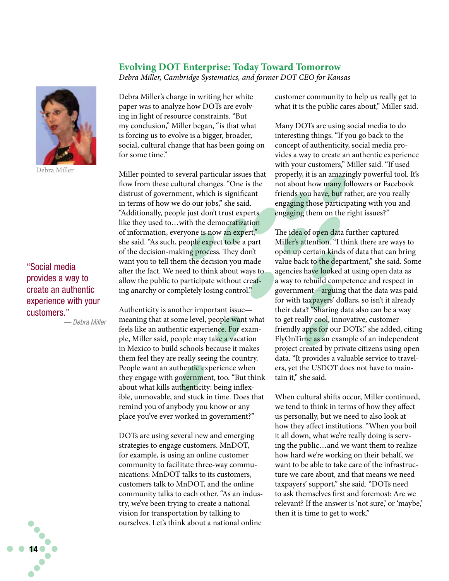#### **Evolving DOT Enterprise: Today Toward Tomorrow**

*Debra Miller, Cambridge Systematics, and former DOT CEO for Kansas*



Debra Miller

#### "Social media provides a way to create an authentic experience with your customers."

*— Debra Miller*

Debra Miller's charge in writing her white paper was to analyze how DOTs are evolving in light of resource constraints. "But my conclusion," Miller began, "is that what is forcing us to evolve is a bigger, broader, social, cultural change that has been going on for some time"

Miller pointed to several particular issues that flow from these cultural changes. "One is the distrust of government, which is significant in terms of how we do our jobs," she said. "Additionally, people just don't trust experts like they used to…with the democratization of information, everyone is now an expert," she said. "As such, people expect to be a part of the decision-making process. They don't want you to tell them the decision you made after the fact. We need to think about ways to allow the public to participate without creating anarchy or completely losing control."

Authenticity is another important issue meaning that at some level, people want what feels like an authentic experience. For example, Miller said, people may take a vacation in Mexico to build schools because it makes them feel they are really seeing the country. People want an authentic experience when they engage with government, too. "But think about what kills authenticity: being inflexible, unmovable, and stuck in time. Does that remind you of anybody you know or any place you've ever worked in government?"

DOTs are using several new and emerging strategies to engage customers. MnDOT, for example, is using an online customer community to facilitate three-way communications: MnDOT talks to its customers, customers talk to MnDOT, and the online community talks to each other. "As an industry, we've been trying to create a national vision for transportation by talking to ourselves. Let's think about a national online

customer community to help us really get to what it is the public cares about," Miller said.

Many DOTs are using social media to do interesting things. "If you go back to the concept of authenticity, social media provides a way to create an authentic experience with your customers," Miller said. "If used properly, it is an amazingly powerful tool. It's not about how many followers or Facebook friends you have, but rather, are you really engaging those participating with you and engaging them on the right issues?"

The idea of open data further captured Miller's attention. "I think there are ways to open up certain kinds of data that can bring value back to the department," she said. Some agencies have looked at using open data as a way to rebuild competence and respect in government—arguing that the data was paid for with taxpayers' dollars, so isn't it already their data? "Sharing data also can be a way to get really cool, innovative, customerfriendly apps for our DOTs," she added, citing FlyOnTime as an example of an independent project created by private citizens using open data. "It provides a valuable service to travelers, yet the USDOT does not have to maintain it," she said.

When cultural shifts occur, Miller continued, we tend to think in terms of how they affect us personally, but we need to also look at how they affect institutions. "When you boil it all down, what we're really doing is serving the public…and we want them to realize how hard we're working on their behalf, we want to be able to take care of the infrastructure we care about, and that means we need taxpayers' support," she said. "DOTs need to ask themselves first and foremost: Are we relevant? If the answer is 'not sure,' or 'maybe,' then it is time to get to work."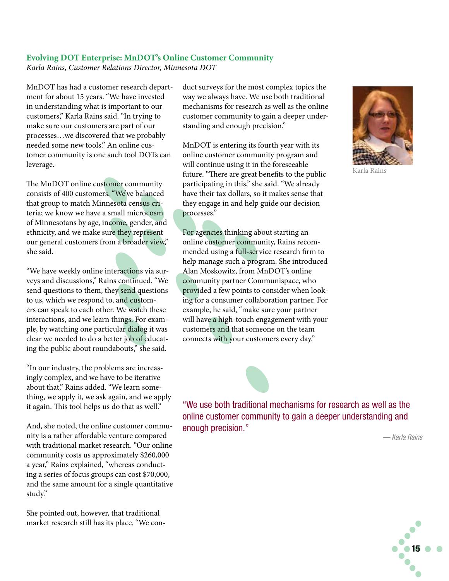#### **Evolving DOT Enterprise: MnDOT's Online Customer Community**

*Karla Rains, Customer Relations Director, Minnesota DOT*

MnDOT has had a customer research department for about 15 years. "We have invested in understanding what is important to our customers," Karla Rains said. "In trying to make sure our customers are part of our processes…we discovered that we probably needed some new tools." An online customer community is one such tool DOTs can leverage.

The MnDOT online customer community consists of 400 customers. "We've balanced that group to match Minnesota census criteria; we know we have a small microcosm of Minnesotans by age, income, gender, and ethnicity, and we make sure they represent our general customers from a broader view," she said.

"We have weekly online interactions via surveys and discussions," Rains continued. "We send questions to them, they send questions to us, which we respond to, and customers can speak to each other. We watch these interactions, and we learn things. For example, by watching one particular dialog it was clear we needed to do a better job of educating the public about roundabouts," she said.

"In our industry, the problems are increasingly complex, and we have to be iterative about that," Rains added. "We learn something, we apply it, we ask again, and we apply it again. This tool helps us do that as well."

And, she noted, the online customer community is a rather affordable venture compared with traditional market research. "Our online community costs us approximately \$260,000 a year," Rains explained, "whereas conducting a series of focus groups can cost \$70,000, and the same amount for a single quantitative study."

She pointed out, however, that traditional market research still has its place. "We conduct surveys for the most complex topics the way we always have. We use both traditional mechanisms for research as well as the online customer community to gain a deeper understanding and enough precision."

MnDOT is entering its fourth year with its online customer community program and will continue using it in the foreseeable future. "There are great benefits to the public participating in this," she said. "We already have their tax dollars, so it makes sense that they engage in and help guide our decision processes."

For agencies thinking about starting an online customer community, Rains recommended using a full-service research firm to help manage such a program. She introduced Alan Moskowitz, from MnDOT's online community partner Communispace, who provided a few points to consider when looking for a consumer collaboration partner. For example, he said, "make sure your partner will have a high-touch engagement with your customers and that someone on the team connects with your customers every day."



*— Karla Rains*



Karla Rains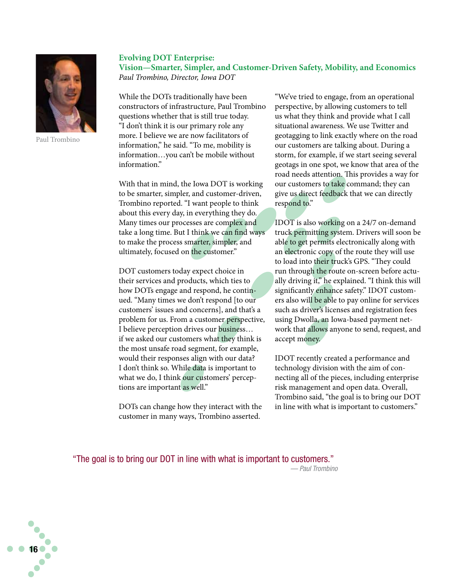

Paul Trombino

#### **Evolving DOT Enterprise: Vision—Smarter, Simpler, and Customer-Driven Safety, Mobility, and Economics** *Paul Trombino, Director, Iowa DOT*

While the DOTs traditionally have been constructors of infrastructure, Paul Trombino questions whether that is still true today. "I don't think it is our primary role any more. I believe we are now facilitators of information," he said. "To me, mobility is information…you can't be mobile without information."

With that in mind, the Iowa DOT is working to be smarter, simpler, and customer-driven, Trombino reported. "I want people to think about this every day, in everything they do. Many times our processes are complex and take a long time. But I think we can find ways to make the process smarter, simpler, and ultimately, focused on the customer."

DOT customers today expect choice in their services and products, which ties to how DOTs engage and respond, he continued. "Many times we don't respond [to our customers' issues and concerns], and that's a problem for us. From a customer perspective, I believe perception drives our business… if we asked our customers what they think is the most unsafe road segment, for example, would their responses align with our data? I don't think so. While data is important to what we do, I think our customers' perceptions are important as well."

DOTs can change how they interact with the customer in many ways, Trombino asserted.

"We've tried to engage, from an operational perspective, by allowing customers to tell us what they think and provide what I call situational awareness. We use Twitter and geotagging to link exactly where on the road our customers are talking about. During a storm, for example, if we start seeing several geotags in one spot, we know that area of the road needs attention. This provides a way for our customers to take command; they can give us direct feedback that we can directly respond to."

IDOT is also working on a 24/7 on-demand truck permitting system. Drivers will soon be able to get permits electronically along with an electronic copy of the route they will use to load into their truck's GPS. "They could run through the route on-screen before actually driving it," he explained. "I think this will significantly enhance safety." IDOT customers also will be able to pay online for services such as driver's licenses and registration fees using Dwolla, an Iowa-based payment network that allows anyone to send, request, and accept money.

IDOT recently created a performance and technology division with the aim of connecting all of the pieces, including enterprise risk management and open data. Overall, Trombino said, "the goal is to bring our DOT in line with what is important to customers."

"The goal is to bring our DOT in line with what is important to customers." *— Paul Trombino*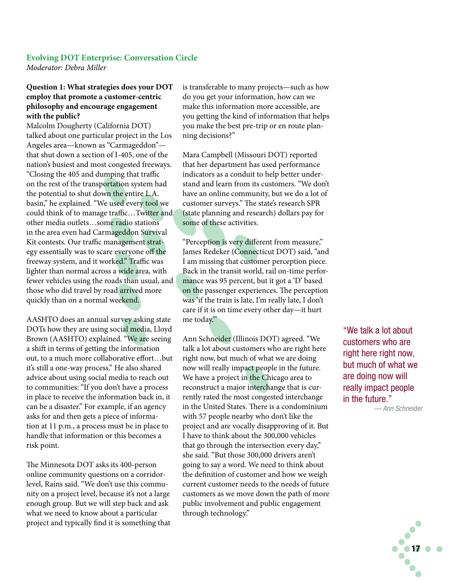#### **Evolving DOT Enterprise: Conversation Circle**

*Moderator: Debra Miller*

#### **Question 1: What strategies does your DOT employ that promote a customer-centric philosophy and encourage engagement with the public?**

Malcolm Dougherty (California DOT) talked about one particular project in the Los Angeles area—known as "Carmageddon" that shut down a section of I-405, one of the nation's busiest and most congested freeways. "Closing the 405 and dumping that traffic on the rest of the transportation system had the potential to shut down the entire L.A. basin," he explained. "We used every tool we could think of to manage traffic…Twitter and other media outlets…some radio stations in the area even had Carmageddon Survival Kit contests. Our traffic management strategy essentially was to scare everyone off the freeway system, and it worked." Traffic was lighter than normal across a wide area, with fewer vehicles using the roads than usual, and those who did travel by road arrived more quickly than on a normal weekend.

AASHTO does an annual survey asking state DOTs how they are using social media, Lloyd Brown (AASHTO) explained. "We are seeing a shift in terms of getting the information out, to a much more collaborative effort…but it's still a one-way process." He also shared advice about using social media to reach out to communities: "If you don't have a process in place to receive the information back in, it can be a disaster." For example, if an agency asks for and then gets a piece of information at 11 p.m., a process must be in place to handle that information or this becomes a risk point.

The Minnesota DOT asks its 400-person online community questions on a corridorlevel, Rains said. "We don't use this community on a project level, because it's not a large enough group. But we will step back and ask what we need to know about a particular project and typically find it is something that is transferable to many projects—such as how do you get your information, how can we make this information more accessible, are you getting the kind of information that helps you make the best pre-trip or en route planning decisions?"

Mara Campbell (Missouri DOT) reported that her department has used performance indicators as a conduit to help better understand and learn from its customers. "We don't have an online community, but we do a lot of customer surveys." The state's research SPR (state planning and research) dollars pay for some of these activities.

"Perception is very different from measure," James Redeker (Connecticut DOT) said, "and I am missing that customer perception piece. Back in the transit world, rail on-time performance was 95 percent, but it got a 'D' based on the passenger experiences. The perception was 'if the train is late, I'm really late, I don't care if it is on time every other day—it hurt me today.'"

Ann Schneider (Illinois DOT) agreed. "We talk a lot about customers who are right here right now, but much of what we are doing now will really impact people in the future. We have a project in the Chicago area to reconstruct a major interchange that is currently rated the most congested interchange in the United States. There is a condominium with 57 people nearby who don't like the project and are vocally disapproving of it. But I have to think about the 300,000 vehicles that go through the intersection every day," she said. "But those 300,000 drivers aren't going to say a word. We need to think about the definition of customer and how we weigh current customer needs to the needs of future customers as we move down the path of more public involvement and public engagement through technology."

"We talk a lot about customers who are right here right now, but much of what we are doing now will really impact people in the future."

*— Ann Schneider*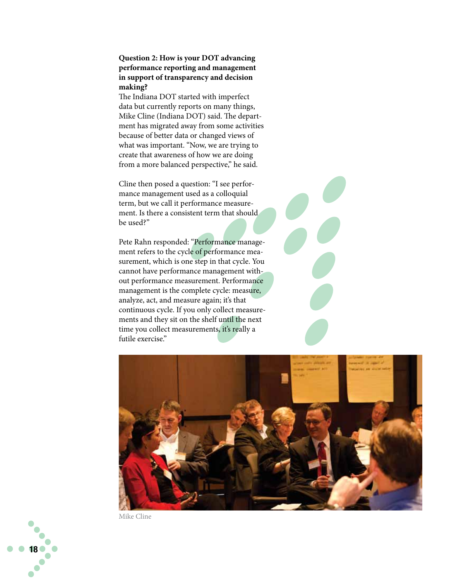#### **Question 2: How is your DOT advancing performance reporting and management in support of transparency and decision making?**

The Indiana DOT started with imperfect data but currently reports on many things, Mike Cline (Indiana DOT) said. The department has migrated away from some activities because of better data or changed views of what was important. "Now, we are trying to create that awareness of how we are doing from a more balanced perspective," he said.

Cline then posed a question: "I see performance management used as a colloquial term, but we call it performance measurement. Is there a consistent term that should be used?"

Pete Rahn responded: "Performance management refers to the cycle of performance measurement, which is one step in that cycle. You cannot have performance management without performance measurement. Performance management is the complete cycle: measure, analyze, act, and measure again; it's that continuous cycle. If you only collect measurements and they sit on the shelf until the next time you collect measurements, it's really a futile exercise."



Mike Cline

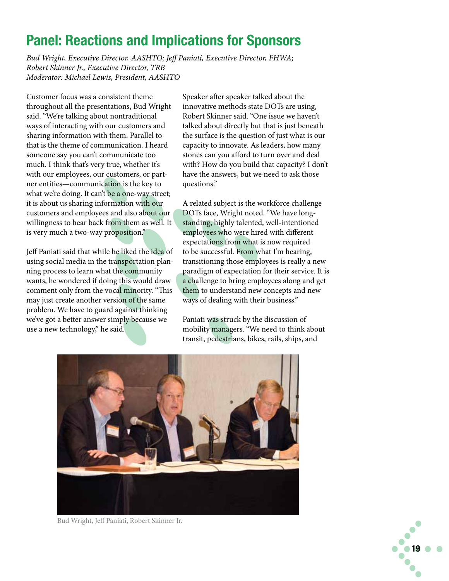## Panel: Reactions and Implications for Sponsors

*Bud Wright, Executive Director, AASHTO; Jeff Paniati, Executive Director, FHWA; Robert Skinner Jr., Executive Director, TRB Moderator: Michael Lewis, President, AASHTO*

Customer focus was a consistent theme throughout all the presentations, Bud Wright said. "We're talking about nontraditional ways of interacting with our customers and sharing information with them. Parallel to that is the theme of communication. I heard someone say you can't communicate too much. I think that's very true, whether it's with our employees, our customers, or partner entities—communication is the key to what we're doing. It can't be a one-way street; it is about us sharing information with our customers and employees and also about our willingness to hear back from them as well. It is very much a two-way proposition."

Jeff Paniati said that while he liked the idea of using social media in the transportation planning process to learn what the community wants, he wondered if doing this would draw comment only from the vocal minority. "This may just create another version of the same problem. We have to guard against thinking we've got a better answer simply because we use a new technology," he said.

Speaker after speaker talked about the innovative methods state DOTs are using, Robert Skinner said. "One issue we haven't talked about directly but that is just beneath the surface is the question of just what is our capacity to innovate. As leaders, how many stones can you afford to turn over and deal with? How do you build that capacity? I don't have the answers, but we need to ask those questions."

A related subject is the workforce challenge DOTs face, Wright noted. "We have longstanding, highly talented, well-intentioned employees who were hired with different expectations from what is now required to be successful. From what I'm hearing, transitioning those employees is really a new paradigm of expectation for their service. It is a challenge to bring employees along and get them to understand new concepts and new ways of dealing with their business."

Paniati was struck by the discussion of mobility managers. "We need to think about transit, pedestrians, bikes, rails, ships, and



Bud Wright, Jeff Paniati, Robert Skinner Jr.

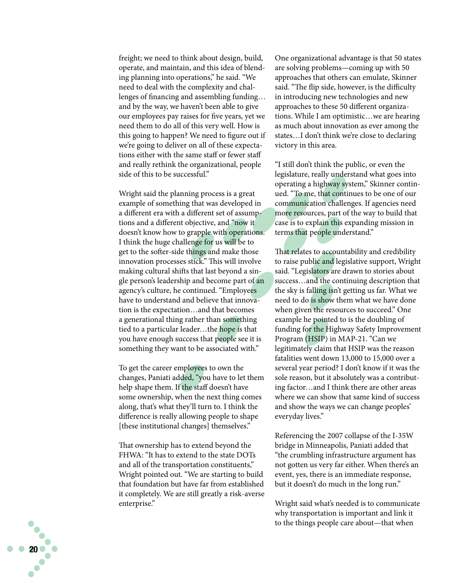freight; we need to think about design, build, operate, and maintain, and this idea of blend ing planning into operations," he said. "We need to deal with the complexity and chal lenges of financing and assembling funding… and by the way, we haven't been able to give our employees pay raises for five years, yet we need them to do all of this very well. How is this going to happen? We need to figure out if we're going to deliver on all of these expecta tions either with the same staff or fewer staff and really rethink the organizational, people side of this to be successful."

Wright said the planning process is a great example of something that was developed in a different era with a different set of assump tions and a different objective, and "now it doesn't know how to grapple with operations. I think the huge challenge for us will be to get to the softer-side things and make those innovation processes stick." This will involve making cultural shifts that last beyond a sin gle person's leadership and become part of an agency's culture, he continued. "Employees have to understand and believe that innova tion is the expectation…and that becomes a generational thing rather than something tied to a particular leader…the hope is that you have enough success that people see it is something they want to be associated with."

To get the career employees to own the changes, Paniati added, "you have to let them help shape them. If the staff doesn't have some ownership, when the next thing comes along, that's what they'll turn to. I think the difference is really allowing people to shape [these institutional changes] themselves."

That ownership has to extend beyond the FHWA: "It has to extend to the state DOTs and all of the transportation constituents," Wright pointed out. "We are starting to build that foundation but have far from established it completely. We are still greatly a risk-averse enterprise."

One organizational advantage is that 50 states are solving problems—coming up with 50 approaches that others can emulate, Skinner said. "The flip side, however, is the difficulty in introducing new technologies and new approaches to these 50 different organiza tions. While I am optimistic…we are hearing as much about innovation as ever among the states…I don't think we're close to declaring victory in this area.

"I still don't think the public, or even the legislature, really understand what goes into operating a highway system," Skinner continued. "To me, that continues to be one of our communication challenges. If agencies need more resources, part of the way to build that case is to explain this expanding mission in terms that people understand."

That relates to accountability and credibility to raise public and legislative support, Wright said. "Legislators are drawn to stories about success…and the continuing description that the sky is falling isn't getting us far. What we need to do is show them what we have done when given the resources to succeed." One example he pointed to is the doubling of funding for the Highway Safety Improvement Program (HSIP) in MAP-21. "Can we legitimately claim that HSIP was the reason fatalities went down 13,000 to 15,000 over a several year period? I don't know if it was the sole reason, but it absolutely was a contribut ing factor…and I think there are other areas where we can show that same kind of success and show the ways we can change peoples' everyday lives."

Referencing the 2007 collapse of the I-35W bridge in Minneapolis, Paniati added that "the crumbling infrastructure argument has not gotten us very far either. When there's an event, yes, there is an immediate response, but it doesn't do much in the long run."

Wright said what's needed is to communicate why transportation is important and link it to the things people care about—that when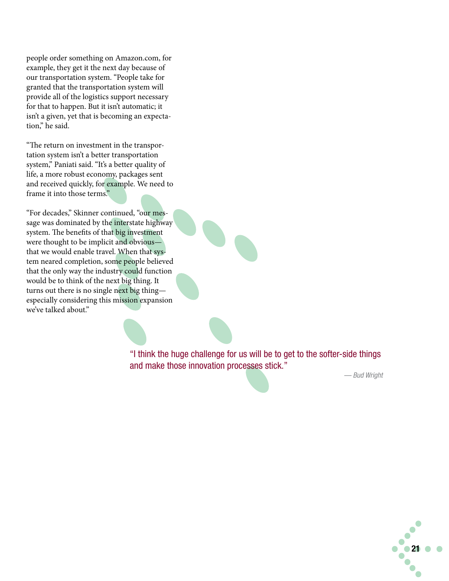people order something on Amazon.com, for example, they get it the next day because of our transportation system. "People take for granted that the transportation system will provide all of the logistics support necessary for that to happen. But it isn't automatic; it isn't a given, yet that is becoming an expectation," he said.

"The return on investment in the transportation system isn't a better transportation system," Paniati said. "It's a better quality of life, a more robust economy, packages sent and received quickly, for example. We need to frame it into those terms."

"For decades," Skinner continued, "our message was dominated by the interstate highway system. The benefits of that big investment were thought to be implicit and obvious that we would enable travel. When that system neared completion, some people believed that the only way the industry could function would be to think of the next big thing. It turns out there is no single next big thing especially considering this mission expansion we've talked about."

> "I think the huge challenge for us will be to get to the softer-side things and make those innovation processes stick."

*— Bud Wright*

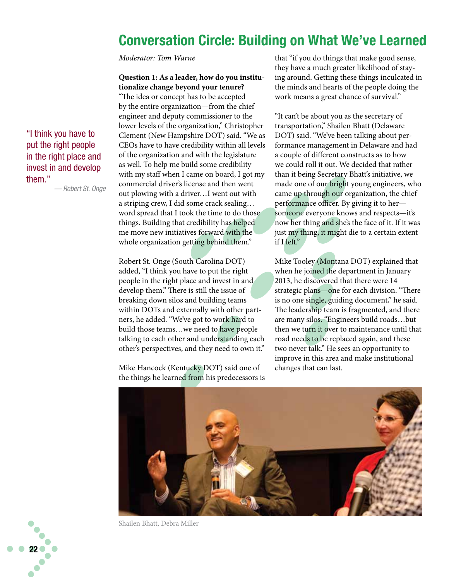## Conversation Circle: Building on What We've Learned

*Moderator: Tom Warne*

#### **Question 1: As a leader, how do you institutionalize change beyond your tenure?**

"The idea or concept has to be accepted by the entire organization—from the chief engineer and deputy commissioner to the lower levels of the organization," Christopher Clement (New Hampshire DOT) said. "We as CEOs have to have credibility within all levels of the organization and with the legislature as well. To help me build some credibility with my staff when I came on board, I got my commercial driver's license and then went out plowing with a driver…I went out with a striping crew, I did some crack sealing… word spread that I took the time to do those things. Building that credibility has helped me move new initiatives forward with the whole organization getting behind them."

Robert St. Onge (South Carolina DOT) added, "I think you have to put the right people in the right place and invest in and develop them." There is still the issue of breaking down silos and building teams within DOTs and externally with other partners, he added. "We've got to work hard to build those teams…we need to have people talking to each other and understanding each other's perspectives, and they need to own it."

Mike Hancock (Kentucky DOT) said one of the things he learned from his predecessors is that "if you do things that make good sense, they have a much greater likelihood of staying around. Getting these things inculcated in the minds and hearts of the people doing the work means a great chance of survival."

"It can't be about you as the secretary of transportation," Shailen Bhatt (Delaware DOT) said. "We've been talking about performance management in Delaware and had a couple of different constructs as to how we could roll it out. We decided that rather than it being Secretary Bhatt's initiative, we made one of our bright young engineers, who came up through our organization, the chief performance officer. By giving it to her someone everyone knows and respects—it's now her thing and she's the face of it. If it was just my thing, it might die to a certain extent if I left."

Mike Tooley (Montana DOT) explained that when he joined the department in January 2013, he discovered that there were 14 strategic plans—one for each division. "There is no one single, guiding document," he said. The leadership team is fragmented, and there are many silos. "Engineers build roads…but then we turn it over to maintenance until that road needs to be replaced again, and these two never talk." He sees an opportunity to improve in this area and make institutional changes that can last.



Shailen Bhatt, Debra Miller

"I think you have to put the right people in the right place and invest in and develop them."

*— Robert St. Onge*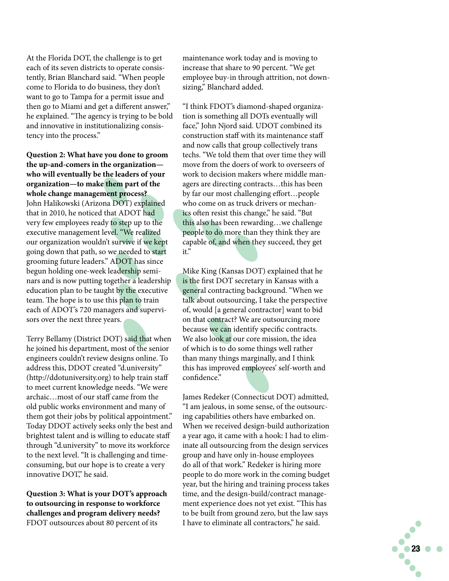At the Florida DOT, the challenge is to get each of its seven districts to operate consis tently, Brian Blanchard said. "When people come to Florida to do business, they don't want to go to Tampa for a permit issue and then go to Miami and get a different answer," he explained. "The agency is trying to be bold and innovative in institutionalizing consis tency into the process."

**Question 2: What have you done to groom the up-and-comers in the organization who will eventually be the leaders of your organization—to make them part of the whole change management process?** John Halikowski (Arizona DOT) explained that in 2010, he noticed that ADOT had very few employees ready to step up to the executive management level. "We realized our organization wouldn't survive if we kept going down that path, so we needed to start grooming future leaders." ADOT has since begun holding one-week leadership semi nars and is now putting together a leadership education plan to be taught by the executive team. The hope is to use this plan to train each of ADOT's 720 managers and supervi sors over the next three years.

Terry Bellamy (District DOT) said that when he joined his department, most of the senior engineers couldn't review designs online. To address this, DDOT created "d.university" (http://ddotuniversity.org) to help train staff to meet current knowledge needs. "We were archaic…most of our staff came from the old public works environment and many of them got their jobs by political appointment." Today DDOT actively seeks only the best and brightest talent and is willing to educate staff through "d.university" to move its workforce to the next level. "It is challenging and timeconsuming, but our hope is to create a very innovative DOT," he said.

**Question 3: What is your DOT's approach to outsourcing in response to workforce challenges and program delivery needs?** FDOT outsources about 80 percent of its

maintenance work today and is moving to increase that share to 90 percent. "We get employee buy-in through attrition, not down sizing," Blanchard added.

"I think FDOT's diamond-shaped organiza tion is something all DOTs eventually will face," John Njord said. UDOT combined its construction staff with its maintenance staff and now calls that group collectively trans techs. "We told them that over time they will move from the doers of work to overseers of work to decision makers where middle man agers are directing contracts…this has been by far our most challenging effort…people who come on as truck drivers or mechan ics often resist this change," he said. "But this also has been rewarding…we challenge people to do more than they think they are capable of, and when they succeed, they get it."

Mike King (Kansas DOT) explained that he is the first DOT secretary in Kansas with a general contracting background. "When we talk about outsourcing, I take the perspective of, would [a general contractor] want to bid on that contract? We are outsourcing more because we can identify specific contracts. We also look at our core mission, the idea of which is to do some things well rather than many things marginally, and I think this has improved employees' self-worth and confidence."

James Redeker (Connecticut DOT) admitted, "I am jealous, in some sense, of the outsourc ing capabilities others have embarked on. When we received design-build authorization a year ago, it came with a hook: I had to elim inate all outsourcing from the design services group and have only in-house employees do all of that work." Redeker is hiring more people to do more work in the coming budget year, but the hiring and training process takes time, and the design-build/contract manage ment experience does not yet exist. "This has to be built from ground zero, but the law says I have to eliminate all contractors," he said.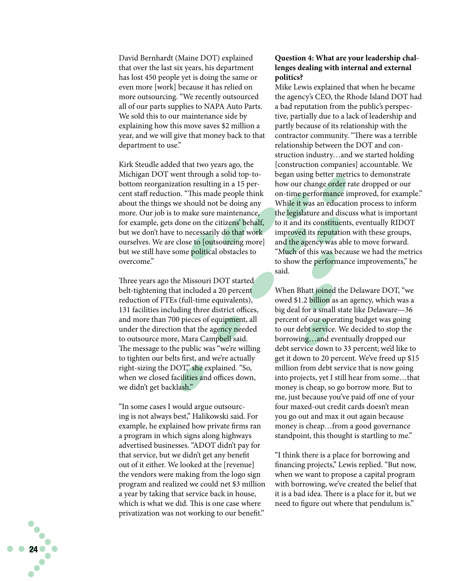David Bernhardt (Maine DOT) explained that over the last six years, his department has lost 450 people yet is doing the same or even more [work] because it has relied on more outsourcing. "We recently outsourced all of our parts supplies to NAPA Auto Parts. We sold this to our maintenance side by explaining how this move saves \$2 million a year, and we will give that money back to that department to use."

Kirk Steudle added that two years ago, the Michigan DOT went through a solid top-tobottom reorganization resulting in a 15 percent staff reduction. "This made people think about the things we should not be doing any more. Our job is to make sure maintenance, for example, gets done on the citizens' behalf, but we don't have to necessarily do that work ourselves. We are close to [outsourcing more] but we still have some political obstacles to overcome."

Three years ago the Missouri DOT started belt-tightening that included a 20 percent reduction of FTEs (full-time equivalents), 131 facilities including three district offices, and more than 700 pieces of equipment, all under the direction that the agency needed to outsource more, Mara Campbell said. The message to the public was "we're willing to tighten our belts first, and we're actually right-sizing the DOT," she explained. "So, when we closed facilities and offices down, we didn't get backlash."

"In some cases I would argue outsourc ing is not always best," Halikowski said. For example, he explained how private firms ran a program in which signs along highways advertised businesses. "ADOT didn't pay for that service, but we didn't get any benefit out of it either. We looked at the [revenue] the vendors were making from the logo sign program and realized we could net \$3 million a year by taking that service back in house, which is what we did. This is one case where privatization was not working to our benefit."

#### **Question 4: What are your leadership chal lenges dealing with internal and external politics?**

Mike Lewis explained that when he became the agency's CEO, the Rhode Island DOT had a bad reputation from the public's perspec tive, partially due to a lack of leadership and partly because of its relationship with the contractor community. "There was a terrible relationship between the DOT and con struction industry…and we started holding [construction companies] accountable. We began using better metrics to demonstrate how our change order rate dropped or our on-time performance improved, for example." While it was an education process to inform the legislature and discuss what is important to it and its constituents, eventually RIDOT improved its reputation with these groups, and the agency was able to move forward. "Much of this was because we had the metrics to show the performance improvements," he said.

When Bhatt joined the Delaware DOT, "we owed \$1.2 billion as an agency, which was a big deal for a small state like Delaware—36 percent of our operating budget was going to our debt service. We decided to stop the borrowing…and eventually dropped our debt service down to 33 percent; we'd like to get it down to 20 percent. We've freed up \$15 million from debt service that is now going into projects, yet I still hear from some…that money is cheap, so go borrow more. But to me, just because you've paid off one of your four maxed-out credit cards doesn't mean you go out and max it out again because money is cheap…from a good governance standpoint, this thought is startling to me."

"I think there is a place for borrowing and financing projects," Lewis replied. "But now, when we want to propose a capital program with borrowing, we've created the belief that it is a bad idea. There is a place for it, but we need to figure out where that pendulum is."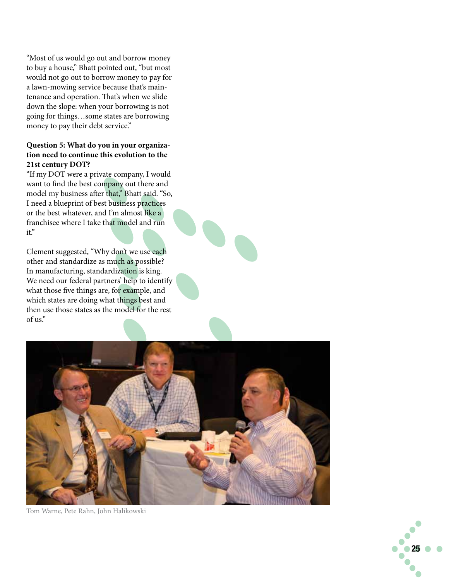"Most of us would go out and borrow money to buy a house," Bhatt pointed out, "but most would not go out to borrow money to pay for a lawn-mowing service because that's main tenance and operation. That's when we slide down the slope: when your borrowing is not going for things…some states are borrowing money to pay their debt service."

#### **Question 5: What do you in your organiza tion need to continue this evolution to the 21st century DOT?**

"If my DOT were a private company, I would want to find the best company out there and model my business after that," Bhatt said. "So, I need a blueprint of best business practices or the best whatever, and I'm almost like a franchisee where I take that model and run it."

Clement suggested, "Why don't we use each other and standardize as much as possible? In manufacturing, standardization is king. We need our federal partners' help to identify what those five things are, for example, and which states are doing what things best and then use those states as the model for the rest of us."



Tom Warne, Pete Rahn, John Halikowski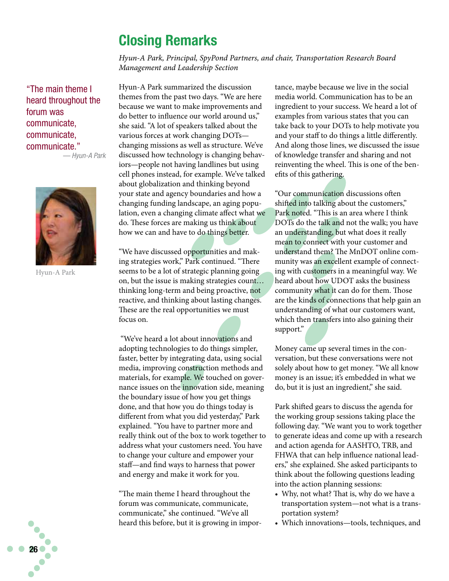## Closing Remarks

*Hyun-A Park, Principal, SpyPond Partners, and chair, Transportation Research Board Management and Leadership Section*

"The main theme I heard throughout the forum was communicate, communicate, communicate."

*— Hyun-A Park*



Hyun-A Park

Hyun-A Park summarized the discussion themes from the past two days. "We are here because we want to make improvements and do better to influence our world around us," she said. "A lot of speakers talked about the various forces at work changing DOTs changing missions as well as structure. We've discussed how technology is changing behaviors—people not having landlines but using cell phones instead, for example. We've talked about globalization and thinking beyond your state and agency boundaries and how a changing funding landscape, an aging population, even a changing climate affect what we do. These forces are making us think about how we can and have to do things better.

"We have discussed opportunities and making strategies work," Park continued. "There seems to be a lot of strategic planning going on, but the issue is making strategies count… thinking long-term and being proactive, not reactive, and thinking about lasting changes. These are the real opportunities we must focus on.

 "We've heard a lot about innovations and adopting technologies to do things simpler, faster, better by integrating data, using social media, improving construction methods and materials, for example. We touched on governance issues on the innovation side, meaning the boundary issue of how you get things done, and that how you do things today is different from what you did yesterday," Park explained. "You have to partner more and really think out of the box to work together to address what your customers need. You have to change your culture and empower your staff—and find ways to harness that power and energy and make it work for you.

"The main theme I heard throughout the forum was communicate, communicate, communicate," she continued. "We've all heard this before, but it is growing in importance, maybe because we live in the social media world. Communication has to be an ingredient to your success. We heard a lot of examples from various states that you can take back to your DOTs to help motivate you and your staff to do things a little differently. And along those lines, we discussed the issue of knowledge transfer and sharing and not reinventing the wheel. This is one of the benefits of this gathering.

"Our communication discussions often shifted into talking about the customers," Park noted. "This is an area where I think DOTs do the talk and not the walk; you have an understanding, but what does it really mean to connect with your customer and understand them? The MnDOT online community was an excellent example of connecting with customers in a meaningful way. We heard about how UDOT asks the business community what it can do for them. Those are the kinds of connections that help gain an understanding of what our customers want, which then transfers into also gaining their support."

Money came up several times in the conversation, but these conversations were not solely about how to get money. "We all know money is an issue; it's embedded in what we do, but it is just an ingredient," she said.

Park shifted gears to discuss the agenda for the working group sessions taking place the following day. "We want you to work together to generate ideas and come up with a research and action agenda for AASHTO, TRB, and FHWA that can help influence national leaders," she explained. She asked participants to think about the following questions leading into the action planning sessions:

- Why, not what? That is, why do we have a transportation system—not what is a transportation system?
- • Which innovations—tools, techniques, and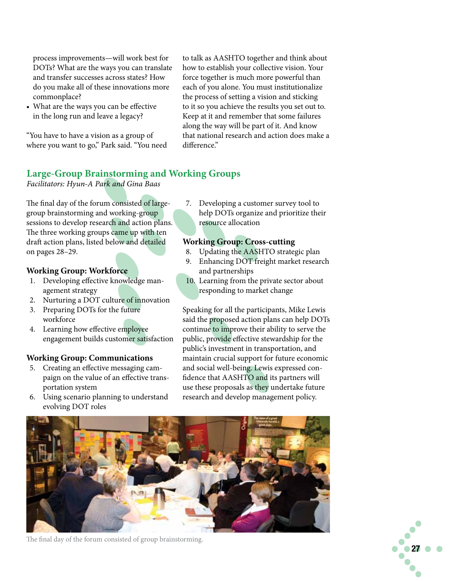process improvements—will work best for DOTs? What are the ways you can translate and transfer successes across states? How do you make all of these innovations more commonplace?

• What are the ways you can be effective in the long run and leave a legacy?

"You have to have a vision as a group of where you want to go," Park said. "You need to talk as AASHTO together and think about how to establish your collective vision. Your force together is much more powerful than each of you alone. You must institutionalize the process of setting a vision and sticking to it so you achieve the results you set out to. Keep at it and remember that some failures along the way will be part of it. And know that national research and action does make a difference."

#### **Large-Group Brainstorming and Working Groups**

*Facilitators: Hyun-A Park and Gina Baas*

The final day of the forum consisted of largegroup brainstorming and working-group sessions to develop research and action plans. The three working groups came up with ten draft action plans, listed below and detailed on pages 28–29.

#### **Working Group: Workforce**

- 1. Developing effective knowledge management strategy
- 2. Nurturing a DOT culture of innovation
- 3. Preparing DOTs for the future workforce
- 4. Learning how effective employee engagement builds customer satisfaction

#### **Working Group: Communications**

- 5. Creating an effective messaging campaign on the value of an effective transportation system
- 6. Using scenario planning to understand evolving DOT roles

7. Developing a customer survey tool to help DOTs organize and prioritize their resource allocation

#### **Working Group: Cross-cutting**

- 8. Updating the AASHTO strategic plan
- 9. Enhancing DOT freight market research and partnerships
- 10. Learning from the private sector about responding to market change

Speaking for all the participants, Mike Lewis said the proposed action plans can help DOTs continue to improve their ability to serve the public, provide effective stewardship for the public's investment in transportation, and maintain crucial support for future economic and social well-being. Lewis expressed confidence that AASHTO and its partners will use these proposals as they undertake future research and develop management policy.



The final day of the forum consisted of group brainstorming.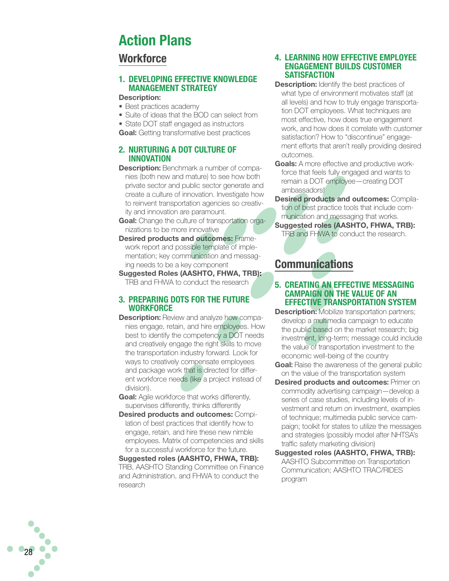## Action Plans

#### **Workforce**

#### 1. DEVELOPING EFFECTIVE KNOWLEDGE **MANAGEMENT STRATEGY**

#### Description :

- Best practices academy
- Suite of ideas that the BOD can select from
- State DOT staff engaged as instructors

Goal: Getting transformative best practices

#### 2. NURTURING A DOT CULTURE O **INNOVATION**

- **Description:** Benchmark a number of companies (both new and mature) to see how both private sector and public sector generate and create a culture of innovation. Investigate how to reinvent transportation agencies so creativ ity and innovation are paramount.
- Goal: Change the culture of transportation organizations to be more innovative
- Desired products and outcomes: Framework report and possible template of imple mentation; key communication and messag ing needs to be a key component
- Suggested Roles (AASHTO, FHWA, TRB)<u>:</u> TRB and FHWA to conduct the research

#### 3. PREPARING DOTS FOR THE FUTUR **WORKFORCF**

- **Description:** Review and analyze how companies engage, retain, and hire employees. How best to identify the competency a DOT needs and creatively engage the right skills to move the transportation industry forward. Look for ways to creatively compensate employees and package work that is directed for different workforce needs (like a project instead of division).
- Goal: Agile workforce that works differently, supervises differently, thinks differently
- Desired products and outcomes: Compilation of best practices that identify how to engage, retain, and hire these new nimble employees. Matrix of competencies and skills for a successful workforce for the future.

Suggested roles (AASHTO, FHWA, TRB) : TRB, AASHTO Standing Committee on Finance and Administration, and FHWA to conduct the research

28

#### 4. LEARNING HOW EFFECTIVE EMPLOYE **ENGAGEMENT BUILDS CUST SATISFACTION**

- **Description:** Identify the best practices of what type of environment motivates staff (at all levels) and how to truly engage transporta tion DOT employees. What techniques are most effective, how does true engagement work, and how does it correlate with customer satisfaction? How to "discontinue" engage ment efforts that aren't really providing desired outcomes.
- Goals: A more effective and productive workforce that feels fully engaged and wants to remain a DOT employee—creating DOT ambassadors!
- Desired products and outcomes: Compilation of best practice tools that include com munication and messaging that works.
- Suggested roles (AASHTO, FHWA, TRB): TRB and FHWA to conduct the research.

## **Communications**

#### 5. CREATING AN EFFECTIVE MESSAGING CAMPAIGN ON THE VALUE OF AN EFFECTIVE TRANSPORTATION SYST

- **Description:** Mobilize transportation partners; develop a multimedia campaign to educate the public based on the market research; big investment, long-term; message could include the value of transportation investment to the economic well-being of the country
- **Goal:** Raise the awareness of the general public on the value of the transportation system
- Desired products and outcomes: Primer on commodity advertising campaign—develop a series of case studies, including levels of investment and return on investment, examples of technique; multimedia public service cam paign; toolkit for states to utilize the messages and strategies (possibly model after NHTSA's traffic safety marketing division)
- Suggested roles (AASHTO, FHWA, TRB): AASHTO Subcommittee on Transportation Communication; AASHTO TRAC/RIDES program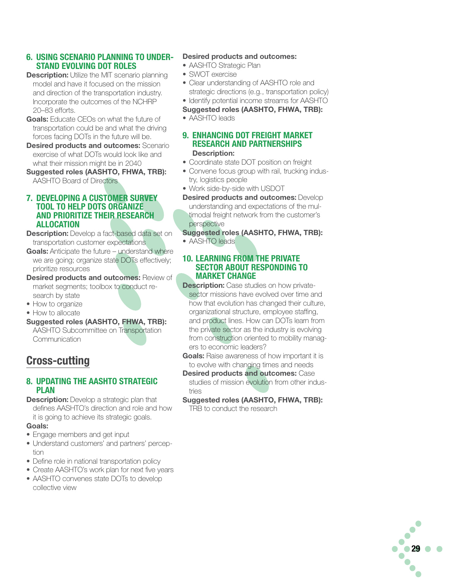#### 6. Using scenario planning to under-STAND EVOLVING DOT ROLES

- **Description:** Utilize the MIT scenario planning model and have it focused on the mission and direction of the transportation industry. Incorporate the outcomes of the NCHRP 20–83 efforts.
- **Goals:** Educate CEOs on what the future of transportation could be and what the driving forces facing DOTs in the future will be.
- **Desired products and outcomes: Scenario** exercise of what DOTs would look like and what their mission might be in 2040
- Suggested roles (AASHTO, FHWA, TRB): AASHTO Board of Directors

#### 7. Developing a Customer Survey tool to help DOTS Organize and Prioritize their research **ALLOCATION**

**Description:** Develop a fact-based data set on transportation customer expectations

- Goals: Anticipate the future understand where we are going; organize state DOTs effectively; prioritize resources
- **Desired products and outcomes: Review of** market segments; toolbox to conduct research by state
- How to organize
- How to allocate
- Suggested roles (AASHTO, FHWA, TRB):
- AASHTO Subcommittee on Transportation **Communication**

## Cross-cutting

#### 8. Updating the AASHTO Strategic Plan

- **Description:** Develop a strategic plan that
- defines AASHTO's direction and role and how it is going to achieve its strategic goals.

#### Goals:

- Engage members and get input
- Understand customers' and partners' perception
- Define role in national transportation policy
- Create AASHTO's work plan for next five years
- AASHTO convenes state DOTs to develop collective view

#### Desired products and outcomes:

- AASHTO Strategic Plan
- SWOT exercise
- Clear understanding of AASHTO role and strategic directions (e.g., transportation policy)
- Identify potential income streams for AASHTO
- Suggested roles (AASHTO, FHWA, TRB):
- AASHTO leads
- 9. Enhancing DOT Freight market research and partnerships Description:
- Coordinate state DOT position on freight
- Convene focus group with rail, trucking industry, logistics people
- Work side-by-side with USDOT
- **Desired products and outcomes: Develop** understanding and expectations of the multimodal freight network from the customer's perspective
- Suggested roles (AASHTO, FHWA, TRB): • AASHTO leads
- 10. learning from the private seCtor about responding to market change
- **Description:** Case studies on how privatesector missions have evolved over time and how that evolution has changed their culture, organizational structure, employee staffing, and product lines. How can DOTs learn from the private sector as the industry is evolving from construction oriented to mobility managers to economic leaders?
- **Goals:** Raise awareness of how important it is to evolve with changing times and needs
- Desired products and outcomes: Case studies of mission evolution from other industries
- Suggested roles (AASHTO, FHWA, TRB): TRB to conduct the research

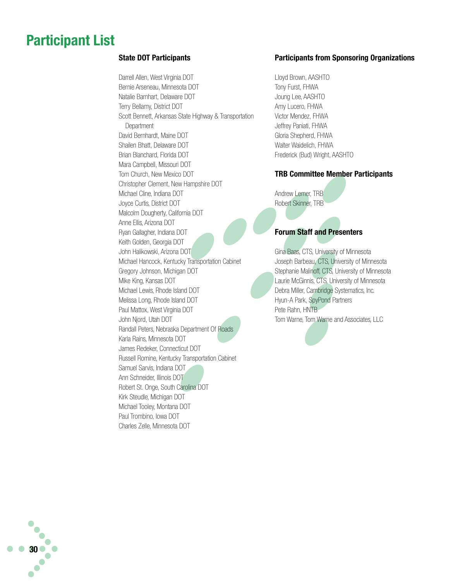## Participant List

#### State DOT Participants

Darrell Allen, West Virginia DOT Bernie Arseneau, Minnesota DOT Natalie Barnhart, Delaware DOT Terry Bellamy, District DOT Scott Bennett, Arkansas State Highway & Transportation **Department** David Bernhardt, Maine DOT Shailen Bhatt, Delaware DOT Brian Blanchard, Florida DOT Mara Campbell, Missouri DOT Tom Church, New Mexico DOT Christopher Clement, New Hampshire DOT Michael Cline, Indiana DOT Joyce Curtis, District DOT Malcolm Dougherty, California DOT Anne Ellis, Arizona DOT Ryan Gallagher, Indiana DOT Keith Golden, Georgia DOT John Halikowski, Arizona DOT Michael Hancock, Kentucky Transportation Cabinet Gregory Johnson, Michigan DOT Mike King, Kansas DOT Michael Lewis, Rhode Island DOT Melissa Long, Rhode Island DOT Paul Mattox, West Virginia DOT John Njord, Utah DOT Randall Peters, Nebraska Department Of Roads Karla Rains, Minnesota DOT James Redeker, Connecticut DOT Russell Romine, Kentucky Transportation Cabinet Samuel Sarvis, Indiana DOT Ann Schneider, Illinois DOT Robert St. Onge, South Carolina DOT Kirk Steudle, Michigan DOT Michael Tooley, Montana DOT Paul Trombino, Iowa DOT Charles Zelle, Minnesota DOT

#### Participants from Sponsoring Organizations

Lloyd Brown, AASHTO Tony Furst, FHWA Joung Lee, AASHTO Amy Lucero, FHWA Victor Mendez, FHWA Jeffrey Paniati, FHWA Gloria Shepherd, FHWA Walter Waidelich, FHWA Frederick (Bud) Wright, AASHTO

#### TRB Committee Member Participants

Andrew Lemer, TRB Robert Skinner, TRB

#### Forum Staff and Presenters

Gina Baas, CTS, University of Minnesota Joseph Barbeau, CTS, University of Minnesota Stephanie Malinoff, CTS, University of Minnesota Laurie McGinnis, CTS, University of Minnesota Debra Miller, Cambridge Systematics, Inc. Hyun-A Park, SpyPond Partners Pete Rahn, HNTB Tom Warne, Tom Warne and Associates, LLC



 $\bullet$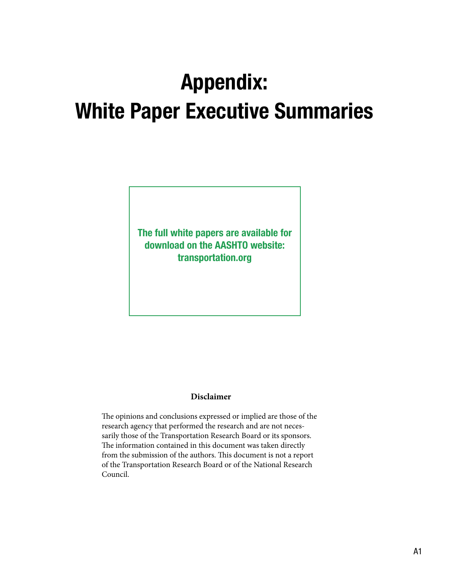## Appendix: White Paper Executive Summaries

The full white papers are available for download on the AASHTO website: transportation.org

#### **Disclaimer**

The opinions and conclusions expressed or implied are those of the research agency that performed the research and are not necessarily those of the Transportation Research Board or its sponsors. The information contained in this document was taken directly from the submission of the authors. This document is not a report of the Transportation Research Board or of the National Research Council.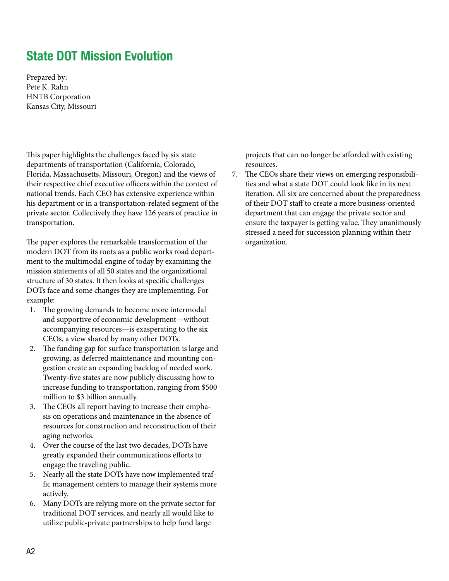## State DOT Mission Evolution

Prepared by: Pete K. Rahn HNTB Corporation Kansas City, Missouri

This paper highlights the challenges faced by six state departments of transportation (California, Colorado, Florida, Massachusetts, Missouri, Oregon) and the views of their respective chief executive officers within the context of national trends. Each CEO has extensive experience within his department or in a transportation-related segment of the private sector. Collectively they have 126 years of practice in transportation.

The paper explores the remarkable transformation of the modern DOT from its roots as a public works road department to the multimodal engine of today by examining the mission statements of all 50 states and the organizational structure of 30 states. It then looks at specific challenges DOTs face and some changes they are implementing. For example:

- 1. The growing demands to become more intermodal and supportive of economic development—without accompanying resources—is exasperating to the six CEOs, a view shared by many other DOTs.
- 2. The funding gap for surface transportation is large and growing, as deferred maintenance and mounting congestion create an expanding backlog of needed work. Twenty-five states are now publicly discussing how to increase funding to transportation, ranging from \$500 million to \$3 billion annually.
- 3. The CEOs all report having to increase their emphasis on operations and maintenance in the absence of resources for construction and reconstruction of their aging networks.
- 4. Over the course of the last two decades, DOTs have greatly expanded their communications efforts to engage the traveling public.
- 5. Nearly all the state DOTs have now implemented traffic management centers to manage their systems more actively.
- 6. Many DOTs are relying more on the private sector for traditional DOT services, and nearly all would like to utilize public-private partnerships to help fund large

projects that can no longer be afforded with existing resources.

7. The CEOs share their views on emerging responsibilities and what a state DOT could look like in its next iteration. All six are concerned about the preparedness of their DOT staff to create a more business-oriented department that can engage the private sector and ensure the taxpayer is getting value. They unanimously stressed a need for succession planning within their organization.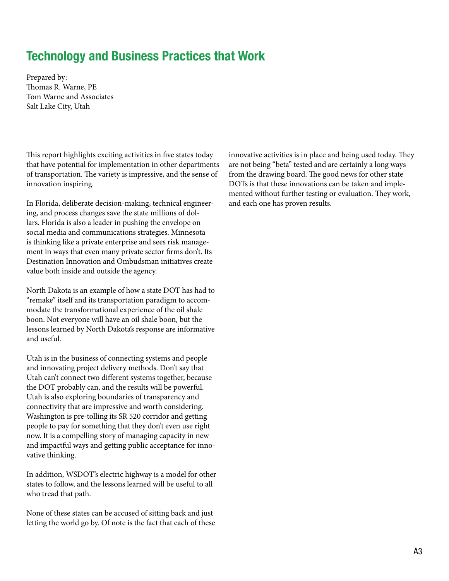## Technology and Business Practices that Work

Prepared by: Thomas R. Warne, PE Tom Warne and Associates Salt Lake City, Utah

This report highlights exciting activities in five states today that have potential for implementation in other departments of transportation. The variety is impressive, and the sense of innovation inspiring.

In Florida, deliberate decision-making, technical engineering, and process changes save the state millions of dollars. Florida is also a leader in pushing the envelope on social media and communications strategies. Minnesota is thinking like a private enterprise and sees risk management in ways that even many private sector firms don't. Its Destination Innovation and Ombudsman initiatives create value both inside and outside the agency.

North Dakota is an example of how a state DOT has had to "remake" itself and its transportation paradigm to accommodate the transformational experience of the oil shale boon. Not everyone will have an oil shale boon, but the lessons learned by North Dakota's response are informative and useful.

Utah is in the business of connecting systems and people and innovating project delivery methods. Don't say that Utah can't connect two different systems together, because the DOT probably can, and the results will be powerful. Utah is also exploring boundaries of transparency and connectivity that are impressive and worth considering. Washington is pre-tolling its SR 520 corridor and getting people to pay for something that they don't even use right now. It is a compelling story of managing capacity in new and impactful ways and getting public acceptance for innovative thinking.

In addition, WSDOT's electric highway is a model for other states to follow, and the lessons learned will be useful to all who tread that path.

None of these states can be accused of sitting back and just letting the world go by. Of note is the fact that each of these innovative activities is in place and being used today. They are not being "beta" tested and are certainly a long ways from the drawing board. The good news for other state DOTs is that these innovations can be taken and implemented without further testing or evaluation. They work, and each one has proven results.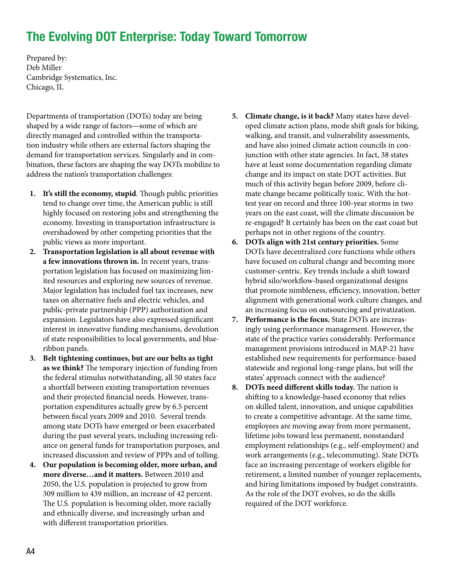## The Evolving DOT Enterprise: Today Toward Tomorrow

Prepared by: Deb Miller Cambridge Systematics, Inc. Chicago, IL

Departments of transportation (DOTs) today are being shaped by a wide range of factors—some of which are directly managed and controlled within the transportation industry while others are external factors shaping the demand for transportation services. Singularly and in combination, these factors are shaping the way DOTs mobilize to address the nation's transportation challenges:

- **1. It's still the economy, stupid**. Though public priorities tend to change over time, the American public is still highly focused on restoring jobs and strengthening the economy. Investing in transportation infrastructure is overshadowed by other competing priorities that the public views as more important.
- **2. Transportation legislation is all about revenue with a few innovations thrown in.** In recent years, transportation legislation has focused on maximizing limited resources and exploring new sources of revenue. Major legislation has included fuel tax increases, new taxes on alternative fuels and electric vehicles, and public-private partnership (PPP) authorization and expansion. Legislators have also expressed significant interest in innovative funding mechanisms, devolution of state responsibilities to local governments, and blueribbon panels.
- **3. Belt tightening continues, but are our belts as tight as we think?** The temporary injection of funding from the federal stimulus notwithstanding, all 50 states face a shortfall between existing transportation revenues and their projected financial needs. However, transportation expenditures actually grew by 6.5 percent between fiscal years 2009 and 2010. Several trends among state DOTs have emerged or been exacerbated during the past several years, including increasing reliance on general funds for transportation purposes, and increased discussion and review of PPPs and of tolling.
- **4. Our population is becoming older, more urban, and more diverse…and it matters.** Between 2010 and 2050, the U.S. population is projected to grow from 309 million to 439 million, an increase of 42 percent. The U.S. population is becoming older, more racially and ethnically diverse, and increasingly urban and with different transportation priorities.
- **5. Climate change, is it back?** Many states have developed climate action plans, mode shift goals for biking, walking, and transit, and vulnerability assessments, and have also joined climate action councils in conjunction with other state agencies. In fact, 38 states have at least some documentation regarding climate change and its impact on state DOT activities. But much of this activity began before 2009, before climate change became politically toxic. With the hottest year on record and three 100-year storms in two years on the east coast, will the climate discussion be re-engaged? It certainly has been on the east coast but perhaps not in other regions of the country.
- **6. DOTs align with 21st century priorities.** Some DOTs have decentralized core functions while others have focused on cultural change and becoming more customer-centric. Key trends include a shift toward hybrid silo/workflow-based organizational designs that promote nimbleness, efficiency, innovation, better alignment with generational work culture changes, and an increasing focus on outsourcing and privatization.
- **7. Performance is the focus.** State DOTs are increasingly using performance management. However, the state of the practice varies considerably. Performance management provisions introduced in MAP-21 have established new requirements for performance-based statewide and regional long-range plans, but will the states' approach connect with the audience?
- **8. DOTs need different skills today.** The nation is shifting to a knowledge-based economy that relies on skilled talent, innovation, and unique capabilities to create a competitive advantage. At the same time, employees are moving away from more permanent, lifetime jobs toward less permanent, nonstandard employment relationships (e.g., self-employment) and work arrangements (e.g., telecommuting). State DOTs face an increasing percentage of workers eligible for retirement, a limited number of younger replacements, and hiring limitations imposed by budget constraints. As the role of the DOT evolves, so do the skills required of the DOT workforce.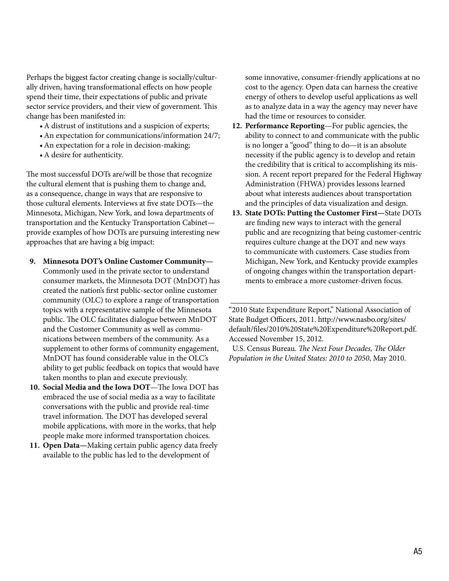Perhaps the biggest factor creating change is socially/culturally driven, having transformational effects on how people spend their time, their expectations of public and private sector service providers, and their view of government. This change has been manifested in:

- • A distrust of institutions and a suspicion of experts;
- An expectation for communications/information 24/7;
- An expectation for a role in decision-making;
- A desire for authenticity.

The most successful DOTs are/will be those that recognize the cultural element that is pushing them to change and, as a consequence, change in ways that are responsive to those cultural elements. Interviews at five state DOTs—the Minnesota, Michigan, New York, and Iowa departments of transportation and the Kentucky Transportation Cabinet provide examples of how DOTs are pursuing interesting new approaches that are having a big impact:

- **9. Minnesota DOT's Online Customer Community—** Commonly used in the private sector to understand consumer markets, the Minnesota DOT (MnDOT) has created the nation's first public-sector online customer community (OLC) to explore a range of transportation topics with a representative sample of the Minnesota public. The OLC facilitates dialogue between MnDOT and the Customer Community as well as communications between members of the community. As a supplement to other forms of community engagement, MnDOT has found considerable value in the OLC's ability to get public feedback on topics that would have taken months to plan and execute previously.
- **10. Social Media and the Iowa DOT**—The Iowa DOT has embraced the use of social media as a way to facilitate conversations with the public and provide real-time travel information. The DOT has developed several mobile applications, with more in the works, that help people make more informed transportation choices.
- **11. Open Data—**Making certain public agency data freely available to the public has led to the development of

some innovative, consumer-friendly applications at no cost to the agency. Open data can harness the creative energy of others to develop useful applications as well as to analyze data in a way the agency may never have had the time or resources to consider.

- **12. Performance Reporting**—For public agencies, the ability to connect to and communicate with the public is no longer a "good" thing to do—it is an absolute necessity if the public agency is to develop and retain the credibility that is critical to accomplishing its mission. A recent report prepared for the Federal Highway Administration (FHWA) provides lessons learned about what interests audiences about transportation and the principles of data visualization and design.
- **13. State DOTs: Putting the Customer First—**State DOTs are finding new ways to interact with the general public and are recognizing that being customer-centric requires culture change at the DOT and new ways to communicate with customers. Case studies from Michigan, New York, and Kentucky provide examples of ongoing changes within the transportation departments to embrace a more customer-driven focus.

"2010 State Expenditure Report," National Association of State Budget Officers, 2011. http://www.nasbo.org/sites/ default/files/2010%20State%20Expenditure%20Report.pdf. Accessed November 15, 2012.

\_\_\_\_\_\_\_\_\_\_\_\_\_\_\_\_\_\_\_\_\_\_\_\_\_\_\_\_\_\_\_\_\_\_\_\_\_\_\_\_\_\_

 U.S. Census Bureau. *The Next Four Decades, The Older Population in the United States: 2010 to 2050*, May 2010.